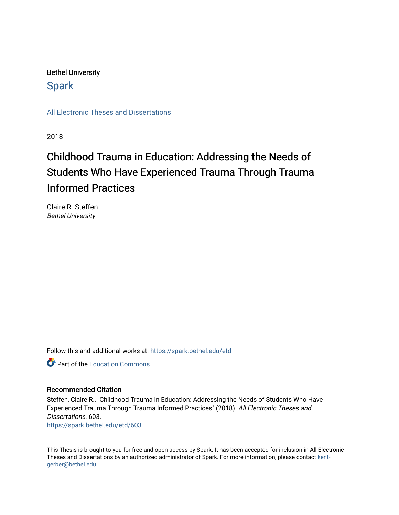## Bethel University

## **Spark**

[All Electronic Theses and Dissertations](https://spark.bethel.edu/etd) 

2018

## Childhood Trauma in Education: Addressing the Needs of Students Who Have Experienced Trauma Through Trauma Informed Practices

Claire R. Steffen Bethel University

Follow this and additional works at: [https://spark.bethel.edu/etd](https://spark.bethel.edu/etd?utm_source=spark.bethel.edu%2Fetd%2F603&utm_medium=PDF&utm_campaign=PDFCoverPages)

**P** Part of the [Education Commons](http://network.bepress.com/hgg/discipline/784?utm_source=spark.bethel.edu%2Fetd%2F603&utm_medium=PDF&utm_campaign=PDFCoverPages)

#### Recommended Citation

Steffen, Claire R., "Childhood Trauma in Education: Addressing the Needs of Students Who Have Experienced Trauma Through Trauma Informed Practices" (2018). All Electronic Theses and Dissertations. 603. [https://spark.bethel.edu/etd/603](https://spark.bethel.edu/etd/603?utm_source=spark.bethel.edu%2Fetd%2F603&utm_medium=PDF&utm_campaign=PDFCoverPages)

This Thesis is brought to you for free and open access by Spark. It has been accepted for inclusion in All Electronic Theses and Dissertations by an authorized administrator of Spark. For more information, please contact [kent](mailto:kent-gerber@bethel.edu)[gerber@bethel.edu.](mailto:kent-gerber@bethel.edu)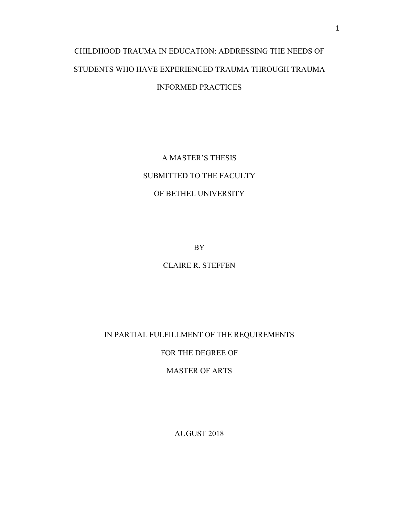## CHILDHOOD TRAUMA IN EDUCATION: ADDRESSING THE NEEDS OF STUDENTS WHO HAVE EXPERIENCED TRAUMA THROUGH TRAUMA INFORMED PRACTICES

A MASTER'S THESIS SUBMITTED TO THE FACULTY OF BETHEL UNIVERSITY

BY

CLAIRE R. STEFFEN

IN PARTIAL FULFILLMENT OF THE REQUIREMENTS

FOR THE DEGREE OF

MASTER OF ARTS

AUGUST 2018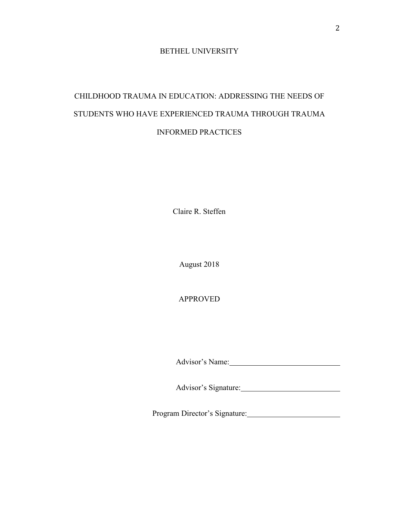#### BETHEL UNIVERSITY

## CHILDHOOD TRAUMA IN EDUCATION: ADDRESSING THE NEEDS OF STUDENTS WHO HAVE EXPERIENCED TRAUMA THROUGH TRAUMA INFORMED PRACTICES

Claire R. Steffen

August 2018

APPROVED

Advisor's Name:

Advisor's Signature:

Program Director's Signature: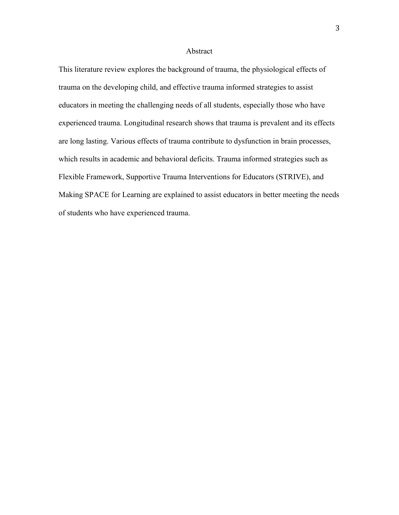#### Abstract

This literature review explores the background of trauma, the physiological effects of trauma on the developing child, and effective trauma informed strategies to assist educators in meeting the challenging needs of all students, especially those who have experienced trauma. Longitudinal research shows that trauma is prevalent and its effects are long lasting. Various effects of trauma contribute to dysfunction in brain processes, which results in academic and behavioral deficits. Trauma informed strategies such as Flexible Framework, Supportive Trauma Interventions for Educators (STRIVE), and Making SPACE for Learning are explained to assist educators in better meeting the needs of students who have experienced trauma.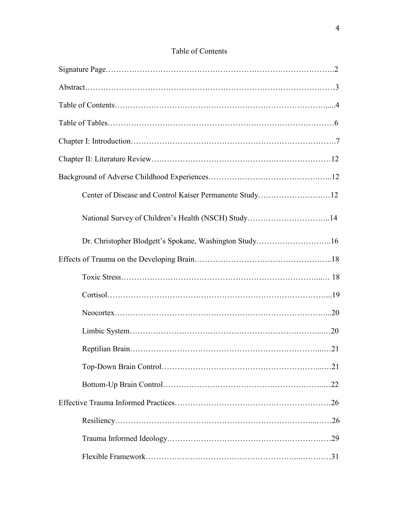### Table of Contents

| Center of Disease and Control Kaiser Permanente Study12 |  |
|---------------------------------------------------------|--|
| National Survey of Children's Health (NSCH) Study14     |  |
| Dr. Christopher Blodgett's Spokane, Washington Study16  |  |
|                                                         |  |
|                                                         |  |
|                                                         |  |
|                                                         |  |
|                                                         |  |
|                                                         |  |
|                                                         |  |
|                                                         |  |
|                                                         |  |
|                                                         |  |
|                                                         |  |
|                                                         |  |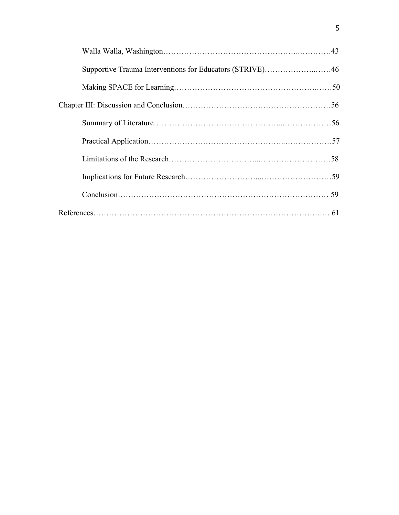| Supportive Trauma Interventions for Educators (STRIVE)46 |  |
|----------------------------------------------------------|--|
|                                                          |  |
|                                                          |  |
|                                                          |  |
|                                                          |  |
|                                                          |  |
|                                                          |  |
|                                                          |  |
|                                                          |  |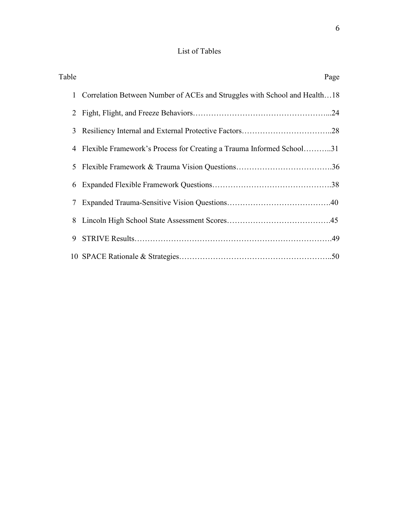## List of Tables

| Table                                                                                     | Page |
|-------------------------------------------------------------------------------------------|------|
| Correlation Between Number of ACEs and Struggles with School and Health18<br>$\mathbf{1}$ |      |
| $\overline{2}$                                                                            |      |
| 3                                                                                         |      |
| Flexible Framework's Process for Creating a Trauma Informed School31<br>4                 |      |
| 5                                                                                         |      |
| 6                                                                                         |      |
| 7                                                                                         |      |
| 8                                                                                         |      |
| 9                                                                                         |      |
|                                                                                           |      |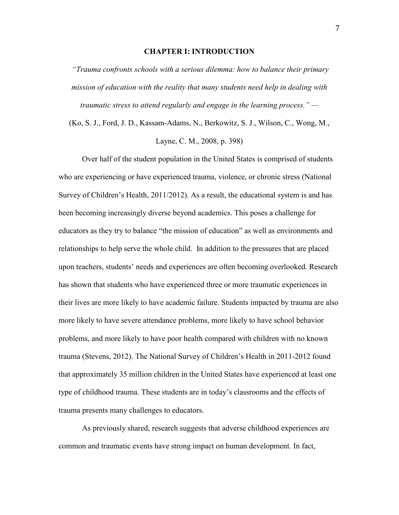#### **CHAPTER I: INTRODUCTION**

 *"Trauma confronts schools with a serious dilemma: how to balance their primary mission of education with the reality that many students need help in dealing with traumatic stress to attend regularly and engage in the learning process." —*

(Ko, S. J., Ford, J. D., Kassam-Adams, N., Berkowitz, S. J., Wilson, C., Wong, M., Layne, C. M., 2008, p. 398)

Over half of the student population in the United States is comprised of students who are experiencing or have experienced trauma, violence, or chronic stress (National Survey of Children's Health, 2011/2012). As a result, the educational system is and has been becoming increasingly diverse beyond academics. This poses a challenge for educators as they try to balance "the mission of education" as well as environments and relationships to help serve the whole child. In addition to the pressures that are placed upon teachers, students' needs and experiences are often becoming overlooked. Research has shown that students who have experienced three or more traumatic experiences in their lives are more likely to have academic failure. Students impacted by trauma are also more likely to have severe attendance problems, more likely to have school behavior problems, and more likely to have poor health compared with children with no known trauma (Stevens, 2012). The National Survey of Children's Health in 2011-2012 found that approximately 35 million children in the United States have experienced at least one type of childhood trauma. These students are in today's classrooms and the effects of trauma presents many challenges to educators.

As previously shared, research suggests that adverse childhood experiences are common and traumatic events have strong impact on human development. In fact,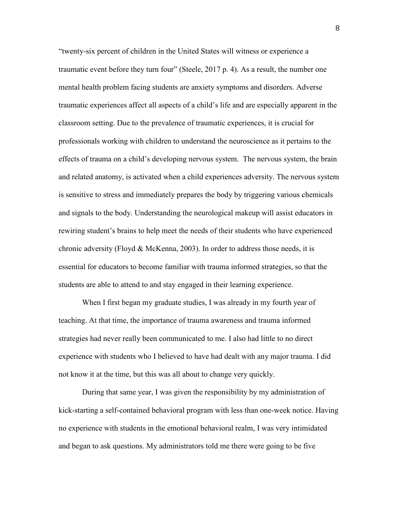"twenty-six percent of children in the United States will witness or experience a traumatic event before they turn four" (Steele, 2017 p. 4). As a result, the number one mental health problem facing students are anxiety symptoms and disorders. Adverse traumatic experiences affect all aspects of a child's life and are especially apparent in the classroom setting. Due to the prevalence of traumatic experiences, it is crucial for professionals working with children to understand the neuroscience as it pertains to the effects of trauma on a child's developing nervous system. The nervous system, the brain and related anatomy, is activated when a child experiences adversity. The nervous system is sensitive to stress and immediately prepares the body by triggering various chemicals and signals to the body. Understanding the neurological makeup will assist educators in rewiring student's brains to help meet the needs of their students who have experienced chronic adversity (Floyd & McKenna, 2003). In order to address those needs, it is essential for educators to become familiar with trauma informed strategies, so that the students are able to attend to and stay engaged in their learning experience.

When I first began my graduate studies, I was already in my fourth year of teaching. At that time, the importance of trauma awareness and trauma informed strategies had never really been communicated to me. I also had little to no direct experience with students who I believed to have had dealt with any major trauma. I did not know it at the time, but this was all about to change very quickly.

During that same year, I was given the responsibility by my administration of kick-starting a self-contained behavioral program with less than one-week notice. Having no experience with students in the emotional behavioral realm, I was very intimidated and began to ask questions. My administrators told me there were going to be five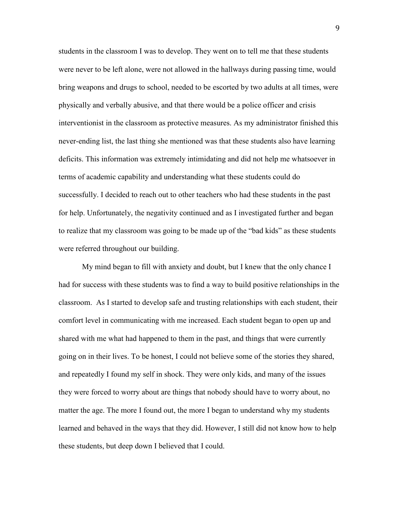students in the classroom I was to develop. They went on to tell me that these students were never to be left alone, were not allowed in the hallways during passing time, would bring weapons and drugs to school, needed to be escorted by two adults at all times, were physically and verbally abusive, and that there would be a police officer and crisis interventionist in the classroom as protective measures. As my administrator finished this never-ending list, the last thing she mentioned was that these students also have learning deficits. This information was extremely intimidating and did not help me whatsoever in terms of academic capability and understanding what these students could do successfully. I decided to reach out to other teachers who had these students in the past for help. Unfortunately, the negativity continued and as I investigated further and began to realize that my classroom was going to be made up of the "bad kids" as these students were referred throughout our building.

My mind began to fill with anxiety and doubt, but I knew that the only chance I had for success with these students was to find a way to build positive relationships in the classroom. As I started to develop safe and trusting relationships with each student, their comfort level in communicating with me increased. Each student began to open up and shared with me what had happened to them in the past, and things that were currently going on in their lives. To be honest, I could not believe some of the stories they shared, and repeatedly I found my self in shock. They were only kids, and many of the issues they were forced to worry about are things that nobody should have to worry about, no matter the age. The more I found out, the more I began to understand why my students learned and behaved in the ways that they did. However, I still did not know how to help these students, but deep down I believed that I could.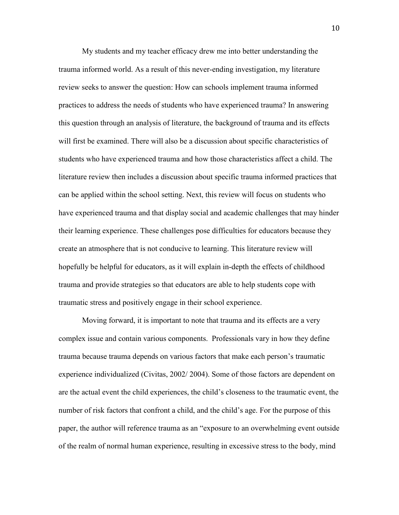My students and my teacher efficacy drew me into better understanding the trauma informed world. As a result of this never-ending investigation, my literature review seeks to answer the question: How can schools implement trauma informed practices to address the needs of students who have experienced trauma? In answering this question through an analysis of literature, the background of trauma and its effects will first be examined. There will also be a discussion about specific characteristics of students who have experienced trauma and how those characteristics affect a child. The literature review then includes a discussion about specific trauma informed practices that can be applied within the school setting. Next, this review will focus on students who have experienced trauma and that display social and academic challenges that may hinder their learning experience. These challenges pose difficulties for educators because they create an atmosphere that is not conducive to learning. This literature review will hopefully be helpful for educators, as it will explain in-depth the effects of childhood trauma and provide strategies so that educators are able to help students cope with traumatic stress and positively engage in their school experience.

Moving forward, it is important to note that trauma and its effects are a very complex issue and contain various components. Professionals vary in how they define trauma because trauma depends on various factors that make each person's traumatic experience individualized (Civitas, 2002/ 2004). Some of those factors are dependent on are the actual event the child experiences, the child's closeness to the traumatic event, the number of risk factors that confront a child, and the child's age. For the purpose of this paper, the author will reference trauma as an "exposure to an overwhelming event outside of the realm of normal human experience, resulting in excessive stress to the body, mind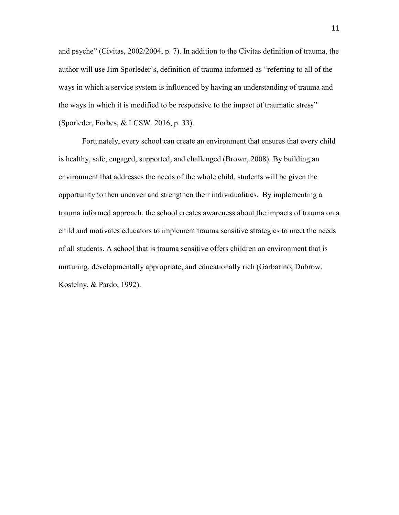and psyche" (Civitas, 2002/2004, p. 7). In addition to the Civitas definition of trauma, the author will use Jim Sporleder's, definition of trauma informed as "referring to all of the ways in which a service system is influenced by having an understanding of trauma and the ways in which it is modified to be responsive to the impact of traumatic stress" (Sporleder, Forbes, & LCSW, 2016, p. 33).

Fortunately, every school can create an environment that ensures that every child is healthy, safe, engaged, supported, and challenged (Brown, 2008). By building an environment that addresses the needs of the whole child, students will be given the opportunity to then uncover and strengthen their individualities. By implementing a trauma informed approach, the school creates awareness about the impacts of trauma on a child and motivates educators to implement trauma sensitive strategies to meet the needs of all students. A school that is trauma sensitive offers children an environment that is nurturing, developmentally appropriate, and educationally rich (Garbarino, Dubrow, Kostelny, & Pardo, 1992).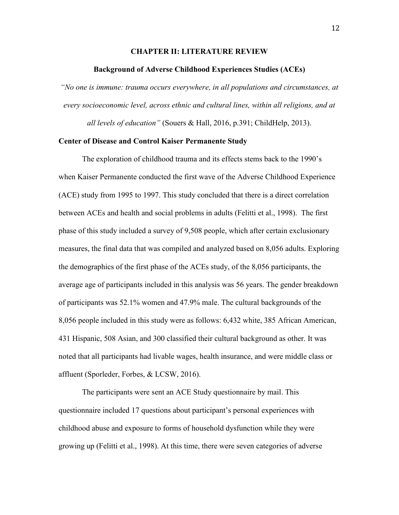#### **CHAPTER II: LITERATURE REVIEW**

#### **Background of Adverse Childhood Experiences Studies (ACEs)**

*"No one is immune: trauma occurs everywhere, in all populations and circumstances, at every socioeconomic level, across ethnic and cultural lines, within all religions, and at* 

*all levels of education"* (Souers & Hall, 2016, p.391; ChildHelp, 2013).

#### **Center of Disease and Control Kaiser Permanente Study**

The exploration of childhood trauma and its effects stems back to the 1990's when Kaiser Permanente conducted the first wave of the Adverse Childhood Experience (ACE) study from 1995 to 1997. This study concluded that there is a direct correlation between ACEs and health and social problems in adults (Felitti et al., 1998). The first phase of this study included a survey of 9,508 people, which after certain exclusionary measures, the final data that was compiled and analyzed based on 8,056 adults. Exploring the demographics of the first phase of the ACEs study, of the 8,056 participants, the average age of participants included in this analysis was 56 years. The gender breakdown of participants was 52.1% women and 47.9% male. The cultural backgrounds of the 8,056 people included in this study were as follows: 6,432 white, 385 African American, 431 Hispanic, 508 Asian, and 300 classified their cultural background as other. It was noted that all participants had livable wages, health insurance, and were middle class or affluent (Sporleder, Forbes, & LCSW, 2016).

The participants were sent an ACE Study questionnaire by mail. This questionnaire included 17 questions about participant's personal experiences with childhood abuse and exposure to forms of household dysfunction while they were growing up (Felitti et al., 1998). At this time, there were seven categories of adverse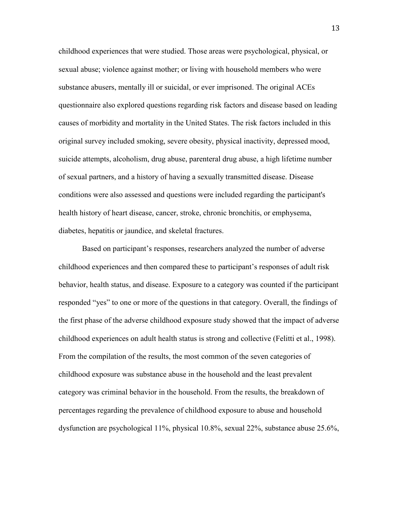childhood experiences that were studied. Those areas were psychological, physical, or sexual abuse; violence against mother; or living with household members who were substance abusers, mentally ill or suicidal, or ever imprisoned. The original ACEs questionnaire also explored questions regarding risk factors and disease based on leading causes of morbidity and mortality in the United States. The risk factors included in this original survey included smoking, severe obesity, physical inactivity, depressed mood, suicide attempts, alcoholism, drug abuse, parenteral drug abuse, a high lifetime number of sexual partners, and a history of having a sexually transmitted disease. Disease conditions were also assessed and questions were included regarding the participant's health history of heart disease, cancer, stroke, chronic bronchitis, or emphysema, diabetes, hepatitis or jaundice, and skeletal fractures.

Based on participant's responses, researchers analyzed the number of adverse childhood experiences and then compared these to participant's responses of adult risk behavior, health status, and disease. Exposure to a category was counted if the participant responded "yes" to one or more of the questions in that category. Overall, the findings of the first phase of the adverse childhood exposure study showed that the impact of adverse childhood experiences on adult health status is strong and collective (Felitti et al., 1998). From the compilation of the results, the most common of the seven categories of childhood exposure was substance abuse in the household and the least prevalent category was criminal behavior in the household. From the results, the breakdown of percentages regarding the prevalence of childhood exposure to abuse and household dysfunction are psychological 11%, physical 10.8%, sexual 22%, substance abuse 25.6%,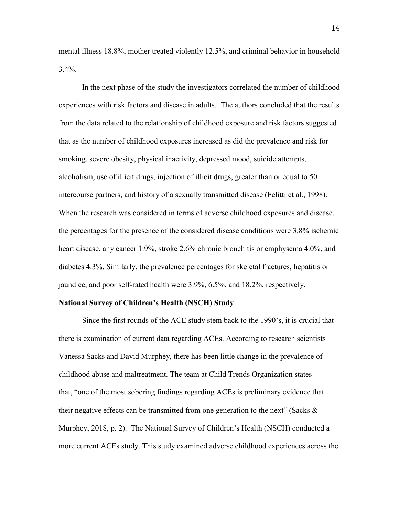mental illness 18.8%, mother treated violently 12.5%, and criminal behavior in household 3.4%.

In the next phase of the study the investigators correlated the number of childhood experiences with risk factors and disease in adults. The authors concluded that the results from the data related to the relationship of childhood exposure and risk factors suggested that as the number of childhood exposures increased as did the prevalence and risk for smoking, severe obesity, physical inactivity, depressed mood, suicide attempts, alcoholism, use of illicit drugs, injection of illicit drugs, greater than or equal to 50 intercourse partners, and history of a sexually transmitted disease (Felitti et al., 1998). When the research was considered in terms of adverse childhood exposures and disease, the percentages for the presence of the considered disease conditions were 3.8% ischemic heart disease, any cancer 1.9%, stroke 2.6% chronic bronchitis or emphysema 4.0%, and diabetes 4.3%. Similarly, the prevalence percentages for skeletal fractures, hepatitis or jaundice, and poor self-rated health were 3.9%, 6.5%, and 18.2%, respectively.

#### **National Survey of Children's Health (NSCH) Study**

 Since the first rounds of the ACE study stem back to the 1990's, it is crucial that there is examination of current data regarding ACEs. According to research scientists Vanessa Sacks and David Murphey, there has been little change in the prevalence of childhood abuse and maltreatment. The team at Child Trends Organization states that, "one of the most sobering findings regarding ACEs is preliminary evidence that their negative effects can be transmitted from one generation to the next" (Sacks  $\&$ Murphey, 2018, p. 2). The National Survey of Children's Health (NSCH) conducted a more current ACEs study. This study examined adverse childhood experiences across the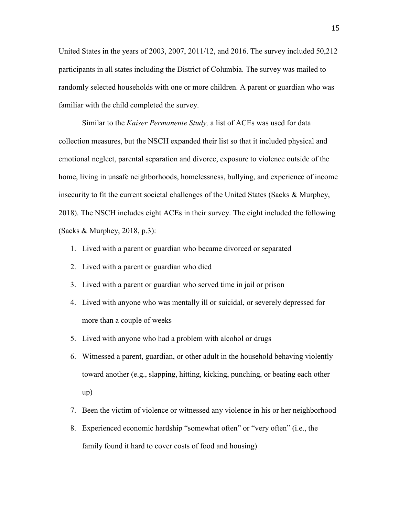United States in the years of 2003, 2007, 2011/12, and 2016. The survey included 50,212 participants in all states including the District of Columbia. The survey was mailed to randomly selected households with one or more children. A parent or guardian who was familiar with the child completed the survey.

Similar to the *Kaiser Permanente Study,* a list of ACEs was used for data collection measures, but the NSCH expanded their list so that it included physical and emotional neglect, parental separation and divorce, exposure to violence outside of the home, living in unsafe neighborhoods, homelessness, bullying, and experience of income insecurity to fit the current societal challenges of the United States (Sacks  $\&$  Murphey, 2018). The NSCH includes eight ACEs in their survey. The eight included the following (Sacks & Murphey, 2018, p.3):

- 1. Lived with a parent or guardian who became divorced or separated
- 2. Lived with a parent or guardian who died
- 3. Lived with a parent or guardian who served time in jail or prison
- 4. Lived with anyone who was mentally ill or suicidal, or severely depressed for more than a couple of weeks
- 5. Lived with anyone who had a problem with alcohol or drugs
- 6. Witnessed a parent, guardian, or other adult in the household behaving violently toward another (e.g., slapping, hitting, kicking, punching, or beating each other up)
- 7. Been the victim of violence or witnessed any violence in his or her neighborhood
- 8. Experienced economic hardship "somewhat often" or "very often" (i.e., the family found it hard to cover costs of food and housing)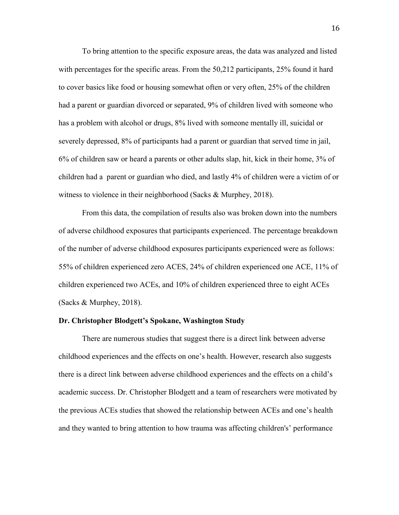To bring attention to the specific exposure areas, the data was analyzed and listed with percentages for the specific areas. From the 50,212 participants, 25% found it hard to cover basics like food or housing somewhat often or very often, 25% of the children had a parent or guardian divorced or separated, 9% of children lived with someone who has a problem with alcohol or drugs, 8% lived with someone mentally ill, suicidal or severely depressed, 8% of participants had a parent or guardian that served time in jail, 6% of children saw or heard a parents or other adults slap, hit, kick in their home, 3% of children had a parent or guardian who died, and lastly 4% of children were a victim of or witness to violence in their neighborhood (Sacks & Murphey, 2018).

From this data, the compilation of results also was broken down into the numbers of adverse childhood exposures that participants experienced. The percentage breakdown of the number of adverse childhood exposures participants experienced were as follows: 55% of children experienced zero ACES, 24% of children experienced one ACE, 11% of children experienced two ACEs, and 10% of children experienced three to eight ACEs (Sacks & Murphey, 2018).

#### **Dr. Christopher Blodgett's Spokane, Washington Study**

There are numerous studies that suggest there is a direct link between adverse childhood experiences and the effects on one's health. However, research also suggests there is a direct link between adverse childhood experiences and the effects on a child's academic success. Dr. Christopher Blodgett and a team of researchers were motivated by the previous ACEs studies that showed the relationship between ACEs and one's health and they wanted to bring attention to how trauma was affecting children's' performance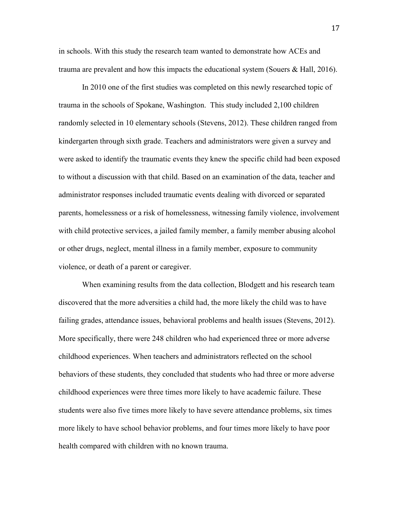in schools. With this study the research team wanted to demonstrate how ACEs and trauma are prevalent and how this impacts the educational system (Souers & Hall, 2016).

In 2010 one of the first studies was completed on this newly researched topic of trauma in the schools of Spokane, Washington. This study included 2,100 children randomly selected in 10 elementary schools (Stevens, 2012). These children ranged from kindergarten through sixth grade. Teachers and administrators were given a survey and were asked to identify the traumatic events they knew the specific child had been exposed to without a discussion with that child. Based on an examination of the data, teacher and administrator responses included traumatic events dealing with divorced or separated parents, homelessness or a risk of homelessness, witnessing family violence, involvement with child protective services, a jailed family member, a family member abusing alcohol or other drugs, neglect, mental illness in a family member, exposure to community violence, or death of a parent or caregiver.

When examining results from the data collection, Blodgett and his research team discovered that the more adversities a child had, the more likely the child was to have failing grades, attendance issues, behavioral problems and health issues (Stevens, 2012). More specifically, there were 248 children who had experienced three or more adverse childhood experiences. When teachers and administrators reflected on the school behaviors of these students, they concluded that students who had three or more adverse childhood experiences were three times more likely to have academic failure. These students were also five times more likely to have severe attendance problems, six times more likely to have school behavior problems, and four times more likely to have poor health compared with children with no known trauma.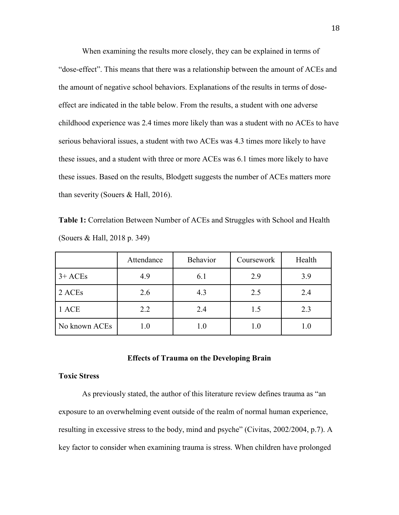When examining the results more closely, they can be explained in terms of "dose-effect". This means that there was a relationship between the amount of ACEs and the amount of negative school behaviors. Explanations of the results in terms of doseeffect are indicated in the table below. From the results, a student with one adverse childhood experience was 2.4 times more likely than was a student with no ACEs to have serious behavioral issues, a student with two ACEs was 4.3 times more likely to have these issues, and a student with three or more ACEs was 6.1 times more likely to have these issues. Based on the results, Blodgett suggests the number of ACEs matters more than severity (Souers & Hall, 2016).

**Table 1:** Correlation Between Number of ACEs and Struggles with School and Health (Souers & Hall, 2018 p. 349)

|               | Attendance | Behavior | Coursework | Health |
|---------------|------------|----------|------------|--------|
| $3+$ ACEs     | 4.9        | 6.1      | 2.9        | 3.9    |
| 2 ACEs        | 2.6        | 4.3      | 2.5        | 2.4    |
| 1 ACE         | 2.2        | 2.4      | 1.5        | 2.3    |
| No known ACEs |            | 1.0      |            |        |

#### **Effects of Trauma on the Developing Brain**

#### **Toxic Stress**

As previously stated, the author of this literature review defines trauma as "an exposure to an overwhelming event outside of the realm of normal human experience, resulting in excessive stress to the body, mind and psyche" (Civitas, 2002/2004, p.7). A key factor to consider when examining trauma is stress. When children have prolonged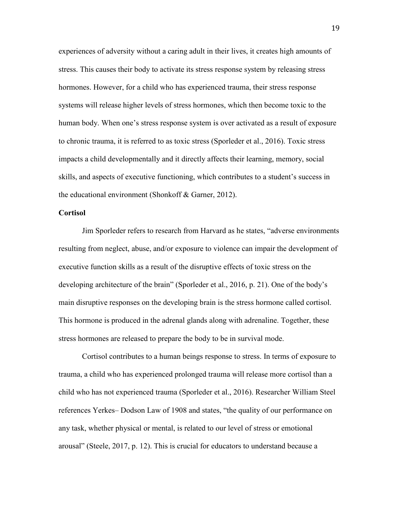experiences of adversity without a caring adult in their lives, it creates high amounts of stress. This causes their body to activate its stress response system by releasing stress hormones. However, for a child who has experienced trauma, their stress response systems will release higher levels of stress hormones, which then become toxic to the human body. When one's stress response system is over activated as a result of exposure to chronic trauma, it is referred to as toxic stress (Sporleder et al., 2016). Toxic stress impacts a child developmentally and it directly affects their learning, memory, social skills, and aspects of executive functioning, which contributes to a student's success in the educational environment (Shonkoff & Garner, 2012).

#### **Cortisol**

Jim Sporleder refers to research from Harvard as he states, "adverse environments resulting from neglect, abuse, and/or exposure to violence can impair the development of executive function skills as a result of the disruptive effects of toxic stress on the developing architecture of the brain" (Sporleder et al., 2016, p. 21). One of the body's main disruptive responses on the developing brain is the stress hormone called cortisol. This hormone is produced in the adrenal glands along with adrenaline. Together, these stress hormones are released to prepare the body to be in survival mode.

Cortisol contributes to a human beings response to stress. In terms of exposure to trauma, a child who has experienced prolonged trauma will release more cortisol than a child who has not experienced trauma (Sporleder et al., 2016). Researcher William Steel references Yerkes– Dodson Law of 1908 and states, "the quality of our performance on any task, whether physical or mental, is related to our level of stress or emotional arousal" (Steele, 2017, p. 12). This is crucial for educators to understand because a

19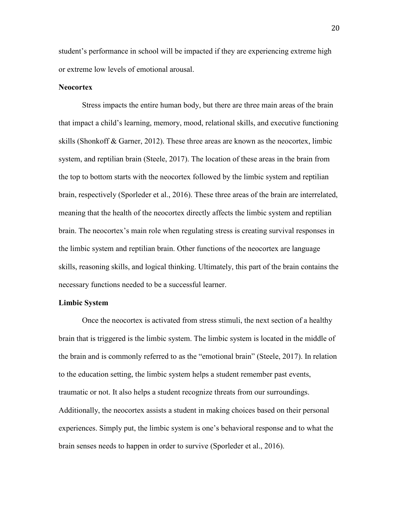student's performance in school will be impacted if they are experiencing extreme high or extreme low levels of emotional arousal.

#### **Neocortex**

 Stress impacts the entire human body, but there are three main areas of the brain that impact a child's learning, memory, mood, relational skills, and executive functioning skills (Shonkoff & Garner, 2012). These three areas are known as the neocortex, limbic system, and reptilian brain (Steele, 2017). The location of these areas in the brain from the top to bottom starts with the neocortex followed by the limbic system and reptilian brain, respectively (Sporleder et al., 2016). These three areas of the brain are interrelated, meaning that the health of the neocortex directly affects the limbic system and reptilian brain. The neocortex's main role when regulating stress is creating survival responses in the limbic system and reptilian brain. Other functions of the neocortex are language skills, reasoning skills, and logical thinking. Ultimately, this part of the brain contains the necessary functions needed to be a successful learner.

#### **Limbic System**

Once the neocortex is activated from stress stimuli, the next section of a healthy brain that is triggered is the limbic system. The limbic system is located in the middle of the brain and is commonly referred to as the "emotional brain" (Steele, 2017). In relation to the education setting, the limbic system helps a student remember past events, traumatic or not. It also helps a student recognize threats from our surroundings. Additionally, the neocortex assists a student in making choices based on their personal experiences. Simply put, the limbic system is one's behavioral response and to what the brain senses needs to happen in order to survive (Sporleder et al., 2016).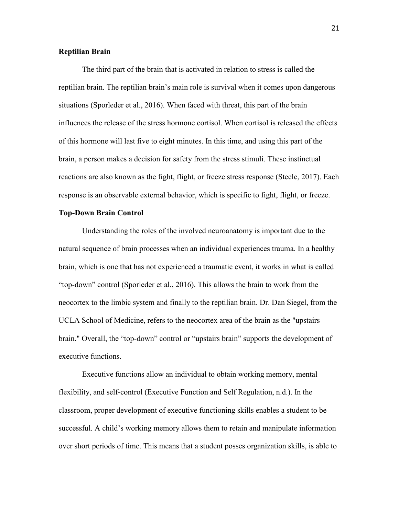#### **Reptilian Brain**

The third part of the brain that is activated in relation to stress is called the reptilian brain. The reptilian brain's main role is survival when it comes upon dangerous situations (Sporleder et al., 2016). When faced with threat, this part of the brain influences the release of the stress hormone cortisol. When cortisol is released the effects of this hormone will last five to eight minutes. In this time, and using this part of the brain, a person makes a decision for safety from the stress stimuli. These instinctual reactions are also known as the fight, flight, or freeze stress response (Steele, 2017). Each response is an observable external behavior, which is specific to fight, flight, or freeze.

#### **Top-Down Brain Control**

Understanding the roles of the involved neuroanatomy is important due to the natural sequence of brain processes when an individual experiences trauma. In a healthy brain, which is one that has not experienced a traumatic event, it works in what is called "top-down" control (Sporleder et al., 2016). This allows the brain to work from the neocortex to the limbic system and finally to the reptilian brain. Dr. Dan Siegel, from the UCLA School of Medicine, refers to the neocortex area of the brain as the "upstairs brain." Overall, the "top-down" control or "upstairs brain" supports the development of executive functions.

Executive functions allow an individual to obtain working memory, mental flexibility, and self-control (Executive Function and Self Regulation, n.d.). In the classroom, proper development of executive functioning skills enables a student to be successful. A child's working memory allows them to retain and manipulate information over short periods of time. This means that a student posses organization skills, is able to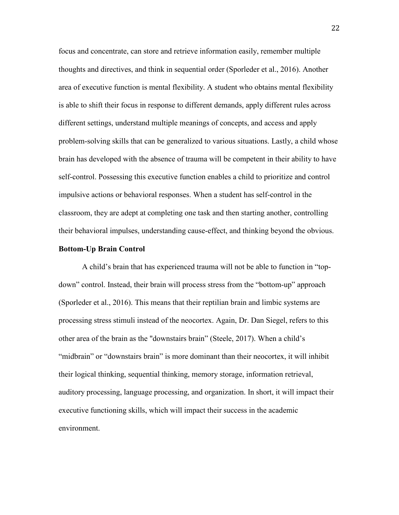focus and concentrate, can store and retrieve information easily, remember multiple thoughts and directives, and think in sequential order (Sporleder et al., 2016). Another area of executive function is mental flexibility. A student who obtains mental flexibility is able to shift their focus in response to different demands, apply different rules across different settings, understand multiple meanings of concepts, and access and apply problem-solving skills that can be generalized to various situations. Lastly, a child whose brain has developed with the absence of trauma will be competent in their ability to have self-control. Possessing this executive function enables a child to prioritize and control impulsive actions or behavioral responses. When a student has self-control in the classroom, they are adept at completing one task and then starting another, controlling their behavioral impulses, understanding cause-effect, and thinking beyond the obvious.

#### **Bottom-Up Brain Control**

 A child's brain that has experienced trauma will not be able to function in "topdown" control. Instead, their brain will process stress from the "bottom-up" approach (Sporleder et al., 2016). This means that their reptilian brain and limbic systems are processing stress stimuli instead of the neocortex. Again, Dr. Dan Siegel, refers to this other area of the brain as the "downstairs brain" (Steele, 2017). When a child's "midbrain" or "downstairs brain" is more dominant than their neocortex, it will inhibit their logical thinking, sequential thinking, memory storage, information retrieval, auditory processing, language processing, and organization. In short, it will impact their executive functioning skills, which will impact their success in the academic environment.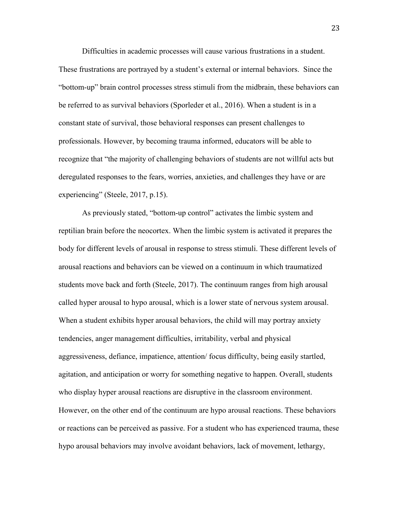Difficulties in academic processes will cause various frustrations in a student. These frustrations are portrayed by a student's external or internal behaviors. Since the "bottom-up" brain control processes stress stimuli from the midbrain, these behaviors can be referred to as survival behaviors (Sporleder et al., 2016). When a student is in a constant state of survival, those behavioral responses can present challenges to professionals. However, by becoming trauma informed, educators will be able to recognize that "the majority of challenging behaviors of students are not willful acts but deregulated responses to the fears, worries, anxieties, and challenges they have or are experiencing" (Steele, 2017, p.15).

As previously stated, "bottom-up control" activates the limbic system and reptilian brain before the neocortex. When the limbic system is activated it prepares the body for different levels of arousal in response to stress stimuli. These different levels of arousal reactions and behaviors can be viewed on a continuum in which traumatized students move back and forth (Steele, 2017). The continuum ranges from high arousal called hyper arousal to hypo arousal, which is a lower state of nervous system arousal. When a student exhibits hyper arousal behaviors, the child will may portray anxiety tendencies, anger management difficulties, irritability, verbal and physical aggressiveness, defiance, impatience, attention/ focus difficulty, being easily startled, agitation, and anticipation or worry for something negative to happen. Overall, students who display hyper arousal reactions are disruptive in the classroom environment. However, on the other end of the continuum are hypo arousal reactions. These behaviors or reactions can be perceived as passive. For a student who has experienced trauma, these hypo arousal behaviors may involve avoidant behaviors, lack of movement, lethargy,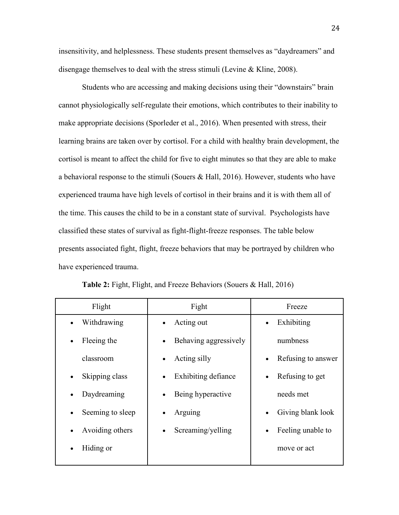insensitivity, and helplessness. These students present themselves as "daydreamers" and disengage themselves to deal with the stress stimuli (Levine & Kline, 2008).

Students who are accessing and making decisions using their "downstairs" brain cannot physiologically self-regulate their emotions, which contributes to their inability to make appropriate decisions (Sporleder et al., 2016). When presented with stress, their learning brains are taken over by cortisol. For a child with healthy brain development, the cortisol is meant to affect the child for five to eight minutes so that they are able to make a behavioral response to the stimuli (Souers & Hall, 2016). However, students who have experienced trauma have high levels of cortisol in their brains and it is with them all of the time. This causes the child to be in a constant state of survival. Psychologists have classified these states of survival as fight-flight-freeze responses. The table below presents associated fight, flight, freeze behaviors that may be portrayed by children who have experienced trauma.

| Flight                        | Fight                              | Freeze                          |
|-------------------------------|------------------------------------|---------------------------------|
| Withdrawing<br>$\bullet$      | Acting out<br>$\bullet$            | Exhibiting<br>$\bullet$         |
| Fleeing the<br>$\bullet$      | Behaving aggressively<br>$\bullet$ | numbness                        |
| classroom                     | Acting silly<br>$\bullet$          | Refusing to answer<br>$\bullet$ |
| Skipping class<br>$\bullet$   | Exhibiting defiance<br>$\bullet$   | Refusing to get<br>$\bullet$    |
| Daydreaming<br>$\bullet$      | Being hyperactive<br>$\bullet$     | needs met                       |
| Seeming to sleep<br>$\bullet$ | Arguing<br>$\bullet$               | Giving blank look<br>$\bullet$  |
| Avoiding others<br>$\bullet$  | Screaming/yelling<br>$\bullet$     | Feeling unable to<br>$\bullet$  |
| Hiding or                     |                                    | move or act                     |
|                               |                                    |                                 |

| Table 2: Fight, Flight, and Freeze Behaviors (Souers & Hall, 2016) |  |  |  |
|--------------------------------------------------------------------|--|--|--|
|                                                                    |  |  |  |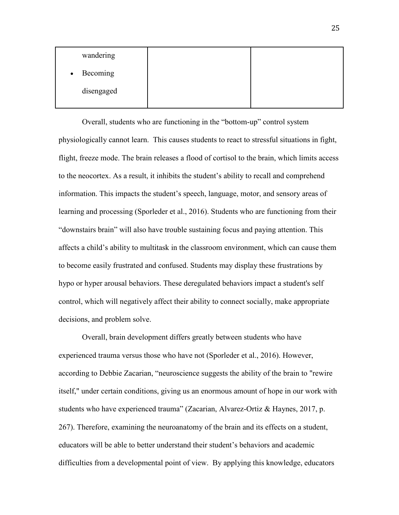| wandering  |  |
|------------|--|
| • Becoming |  |
| disengaged |  |

 Overall, students who are functioning in the "bottom-up" control system physiologically cannot learn. This causes students to react to stressful situations in fight, flight, freeze mode. The brain releases a flood of cortisol to the brain, which limits access to the neocortex. As a result, it inhibits the student's ability to recall and comprehend information. This impacts the student's speech, language, motor, and sensory areas of learning and processing (Sporleder et al., 2016). Students who are functioning from their "downstairs brain" will also have trouble sustaining focus and paying attention. This affects a child's ability to multitask in the classroom environment, which can cause them to become easily frustrated and confused. Students may display these frustrations by hypo or hyper arousal behaviors. These deregulated behaviors impact a student's self control, which will negatively affect their ability to connect socially, make appropriate decisions, and problem solve.

Overall, brain development differs greatly between students who have experienced trauma versus those who have not (Sporleder et al., 2016). However, according to Debbie Zacarian, "neuroscience suggests the ability of the brain to "rewire itself," under certain conditions, giving us an enormous amount of hope in our work with students who have experienced trauma" (Zacarian, [Alvarez-Ortiz](https://www.amazon.com/Lourdes-Alvarez-Ortiz/e/B0774X9TTW/ref=dp_byline_cont_ebooks_2) & Haynes, 2017, p. 267). Therefore, examining the neuroanatomy of the brain and its effects on a student, educators will be able to better understand their student's behaviors and academic difficulties from a developmental point of view. By applying this knowledge, educators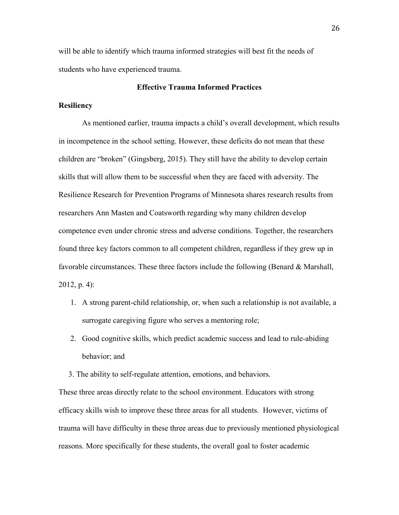will be able to identify which trauma informed strategies will best fit the needs of students who have experienced trauma.

#### **Effective Trauma Informed Practices**

#### **Resiliency**

As mentioned earlier, trauma impacts a child's overall development, which results in incompetence in the school setting. However, these deficits do not mean that these children are "broken" (Gingsberg, 2015). They still have the ability to develop certain skills that will allow them to be successful when they are faced with adversity. The Resilience Research for Prevention Programs of Minnesota shares research results from researchers Ann Masten and Coatsworth regarding why many children develop competence even under chronic stress and adverse conditions. Together, the researchers found three key factors common to all competent children, regardless if they grew up in favorable circumstances. These three factors include the following (Benard & Marshall, 2012, p. 4):

- 1. A strong parent-child relationship, or, when such a relationship is not available, a surrogate caregiving figure who serves a mentoring role;
- 2. Good cognitive skills, which predict academic success and lead to rule-abiding behavior; and
- 3. The ability to self-regulate attention, emotions, and behaviors.

These three areas directly relate to the school environment. Educators with strong efficacy skills wish to improve these three areas for all students. However, victims of trauma will have difficulty in these three areas due to previously mentioned physiological reasons. More specifically for these students, the overall goal to foster academic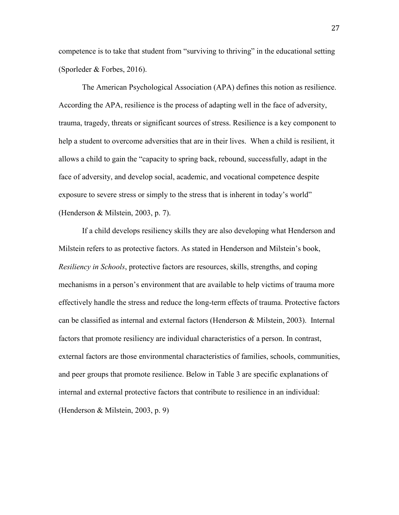competence is to take that student from "surviving to thriving" in the educational setting (Sporleder & Forbes, 2016).

The American Psychological Association (APA) defines this notion as resilience. According the APA, resilience is the process of adapting well in the face of adversity, trauma, tragedy, threats or significant sources of stress. Resilience is a key component to help a student to overcome adversities that are in their lives. When a child is resilient, it allows a child to gain the "capacity to spring back, rebound, successfully, adapt in the face of adversity, and develop social, academic, and vocational competence despite exposure to severe stress or simply to the stress that is inherent in today's world" (Henderson & Milstein, 2003, p. 7).

If a child develops resiliency skills they are also developing what Henderson and Milstein refers to as protective factors. As stated in Henderson and Milstein's book, *Resiliency in Schools*, protective factors are resources, skills, strengths, and coping mechanisms in a person's environment that are available to help victims of trauma more effectively handle the stress and reduce the long-term effects of trauma. Protective factors can be classified as internal and external factors (Henderson & Milstein, 2003). Internal factors that promote resiliency are individual characteristics of a person. In contrast, external factors are those environmental characteristics of families, schools, communities, and peer groups that promote resilience. Below in Table 3 are specific explanations of internal and external protective factors that contribute to resilience in an individual: (Henderson & Milstein, 2003, p. 9)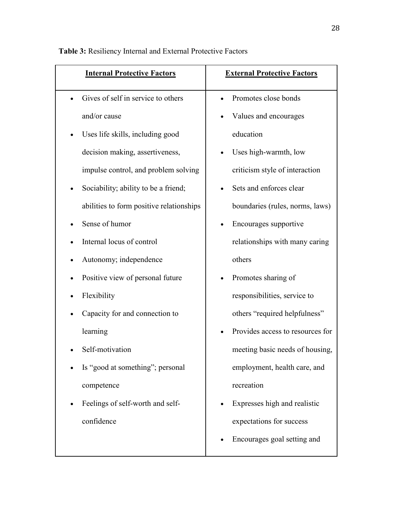| <b>Internal Protective Factors</b>       | <b>External Protective Factors</b> |
|------------------------------------------|------------------------------------|
| Gives of self in service to others       | Promotes close bonds               |
| and/or cause                             | Values and encourages              |
| Uses life skills, including good         | education                          |
| decision making, assertiveness,          | Uses high-warmth, low<br>$\bullet$ |
| impulse control, and problem solving     | criticism style of interaction     |
| Sociability; ability to be a friend;     | Sets and enforces clear            |
| abilities to form positive relationships | boundaries (rules, norms, laws)    |
| Sense of humor                           | Encourages supportive<br>$\bullet$ |
| Internal locus of control                | relationships with many caring     |
| Autonomy; independence<br>$\bullet$      | others                             |
| Positive view of personal future         | Promotes sharing of                |
| Flexibility                              | responsibilities, service to       |
| Capacity for and connection to           | others "required helpfulness"      |
| learning                                 | Provides access to resources for   |
| Self-motivation                          | meeting basic needs of housing,    |
| Is "good at something"; personal         | employment, health care, and       |
| competence                               | recreation                         |
| Feelings of self-worth and self-         | Expresses high and realistic       |
| confidence                               | expectations for success           |
|                                          | Encourages goal setting and        |

**Table 3:** Resiliency Internal and External Protective Factors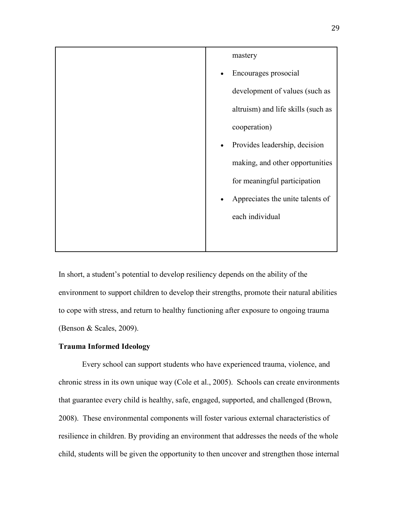| mastery                                       |
|-----------------------------------------------|
| Encourages prosocial<br>$\bullet$             |
| development of values (such as                |
| altruism) and life skills (such as            |
| cooperation)                                  |
| Provides leadership, decision<br>$\bullet$    |
| making, and other opportunities               |
| for meaningful participation                  |
| Appreciates the unite talents of<br>$\bullet$ |
| each individual                               |
|                                               |
|                                               |

In short, a student's potential to develop resiliency depends on the ability of the environment to support children to develop their strengths, promote their natural abilities to cope with stress, and return to healthy functioning after exposure to ongoing trauma (Benson & Scales, 2009).

#### **Trauma Informed Ideology**

Every school can support students who have experienced trauma, violence, and chronic stress in its own unique way (Cole et al., 2005). Schools can create environments that guarantee every child is healthy, safe, engaged, supported, and challenged (Brown, 2008). These environmental components will foster various external characteristics of resilience in children. By providing an environment that addresses the needs of the whole child, students will be given the opportunity to then uncover and strengthen those internal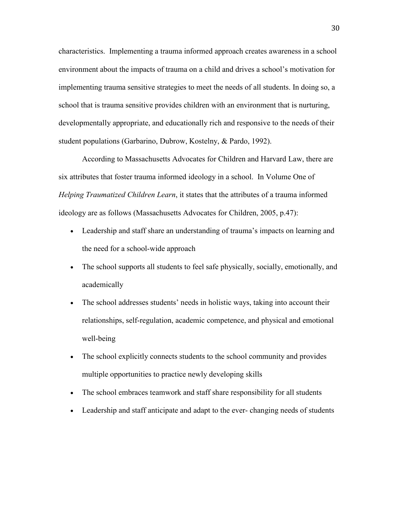characteristics. Implementing a trauma informed approach creates awareness in a school environment about the impacts of trauma on a child and drives a school's motivation for implementing trauma sensitive strategies to meet the needs of all students. In doing so, a school that is trauma sensitive provides children with an environment that is nurturing, developmentally appropriate, and educationally rich and responsive to the needs of their student populations (Garbarino, Dubrow, Kostelny, & Pardo, 1992).

According to Massachusetts Advocates for Children and Harvard Law, there are six attributes that foster trauma informed ideology in a school. In Volume One of *Helping Traumatized Children Learn*, it states that the attributes of a trauma informed ideology are as follows (Massachusetts Advocates for Children, 2005, p.47):

- Leadership and staff share an understanding of trauma's impacts on learning and the need for a school-wide approach
- The school supports all students to feel safe physically, socially, emotionally, and academically
- The school addresses students' needs in holistic ways, taking into account their relationships, self-regulation, academic competence, and physical and emotional well-being
- The school explicitly connects students to the school community and provides multiple opportunities to practice newly developing skills
- The school embraces teamwork and staff share responsibility for all students
- Leadership and staff anticipate and adapt to the ever- changing needs of students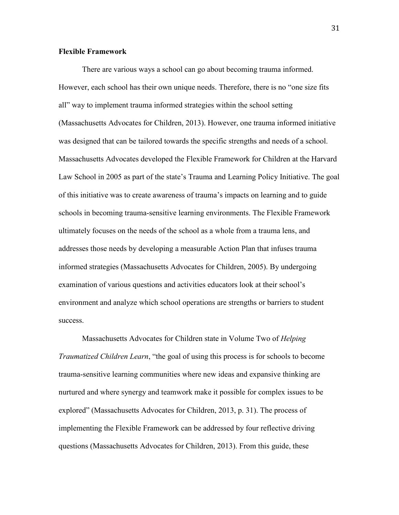#### **Flexible Framework**

There are various ways a school can go about becoming trauma informed. However, each school has their own unique needs. Therefore, there is no "one size fits all" way to implement trauma informed strategies within the school setting (Massachusetts Advocates for Children, 2013). However, one trauma informed initiative was designed that can be tailored towards the specific strengths and needs of a school. Massachusetts Advocates developed the Flexible Framework for Children at the Harvard Law School in 2005 as part of the state's Trauma and Learning Policy Initiative. The goal of this initiative was to create awareness of trauma's impacts on learning and to guide schools in becoming trauma-sensitive learning environments. The Flexible Framework ultimately focuses on the needs of the school as a whole from a trauma lens, and addresses those needs by developing a measurable Action Plan that infuses trauma informed strategies (Massachusetts Advocates for Children, 2005). By undergoing examination of various questions and activities educators look at their school's environment and analyze which school operations are strengths or barriers to student success.

Massachusetts Advocates for Children state in Volume Two of *Helping Traumatized Children Learn*, "the goal of using this process is for schools to become trauma-sensitive learning communities where new ideas and expansive thinking are nurtured and where synergy and teamwork make it possible for complex issues to be explored" (Massachusetts Advocates for Children, 2013, p. 31). The process of implementing the Flexible Framework can be addressed by four reflective driving questions (Massachusetts Advocates for Children, 2013). From this guide, these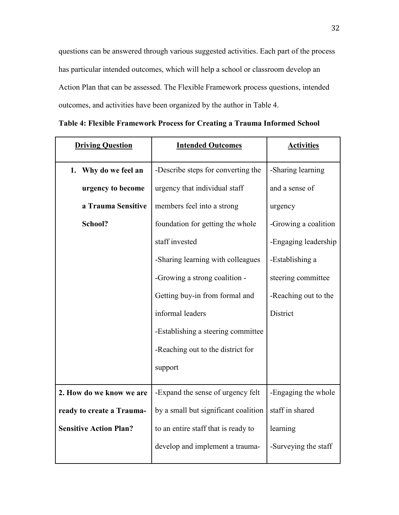questions can be answered through various suggested activities. Each part of the process has particular intended outcomes, which will help a school or classroom develop an Action Plan that can be assessed. The Flexible Framework process questions, intended outcomes, and activities have been organized by the author in Table 4.

| <b>Driving Question</b>       | <b>Intended Outcomes</b>             | <b>Activities</b>    |
|-------------------------------|--------------------------------------|----------------------|
| 1. Why do we feel an          | -Describe steps for converting the   | -Sharing learning    |
| urgency to become             | urgency that individual staff        | and a sense of       |
| a Trauma Sensitive            | members feel into a strong           | urgency              |
| School?                       | foundation for getting the whole     | -Growing a coalition |
|                               | staff invested                       | -Engaging leadership |
|                               | -Sharing learning with colleagues    | -Establishing a      |
|                               | -Growing a strong coalition -        | steering committee   |
|                               | Getting buy-in from formal and       | -Reaching out to the |
|                               | informal leaders                     | District             |
|                               | -Establishing a steering committee   |                      |
|                               | -Reaching out to the district for    |                      |
|                               | support                              |                      |
| 2. How do we know we are      | -Expand the sense of urgency felt    | -Engaging the whole  |
| ready to create a Trauma-     | by a small but significant coalition | staff in shared      |
| <b>Sensitive Action Plan?</b> | to an entire staff that is ready to  | learning             |
|                               | develop and implement a trauma-      | -Surveying the staff |

|  | Table 4: Flexible Framework Process for Creating a Trauma Informed School |  |  |  |  |
|--|---------------------------------------------------------------------------|--|--|--|--|
|  |                                                                           |  |  |  |  |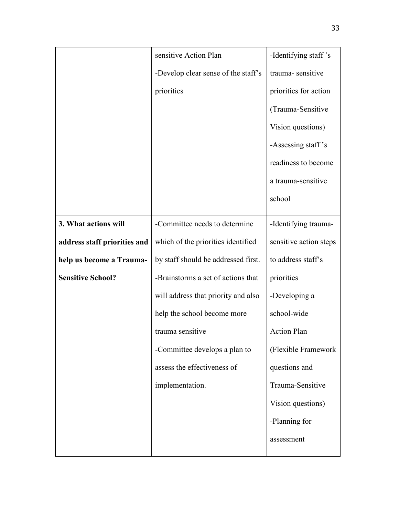|                              | sensitive Action Plan               | -Identifying staff's   |
|------------------------------|-------------------------------------|------------------------|
|                              | -Develop clear sense of the staff's | trauma-sensitive       |
|                              | priorities                          | priorities for action  |
|                              |                                     | (Trauma-Sensitive      |
|                              |                                     | Vision questions)      |
|                              |                                     | -Assessing staff's     |
|                              |                                     | readiness to become    |
|                              |                                     | a trauma-sensitive     |
|                              |                                     | school                 |
| 3. What actions will         | -Committee needs to determine       | -Identifying trauma-   |
| address staff priorities and | which of the priorities identified  | sensitive action steps |
| help us become a Trauma-     | by staff should be addressed first. | to address staff's     |
| <b>Sensitive School?</b>     | -Brainstorms a set of actions that  | priorities             |
|                              | will address that priority and also | -Developing a          |
|                              | help the school become more         | school-wide            |
|                              | trauma sensitive                    | <b>Action Plan</b>     |
|                              | -Committee develops a plan to       | (Flexible Framework    |
|                              | assess the effectiveness of         | questions and          |
|                              | implementation.                     | Trauma-Sensitive       |
|                              |                                     | Vision questions)      |
|                              |                                     | -Planning for          |
|                              |                                     | assessment             |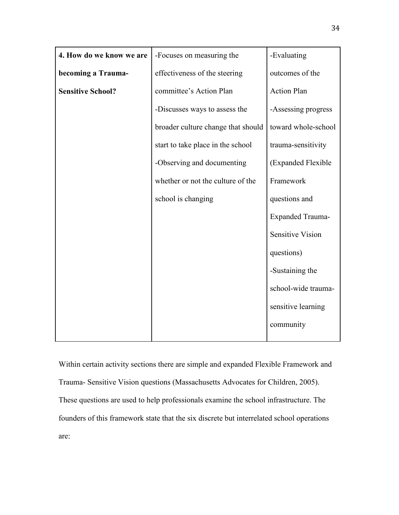| 4. How do we know we are | -Focuses on measuring the          | -Evaluating             |
|--------------------------|------------------------------------|-------------------------|
| becoming a Trauma-       | effectiveness of the steering      | outcomes of the         |
| <b>Sensitive School?</b> | committee's Action Plan            | <b>Action Plan</b>      |
|                          | -Discusses ways to assess the      | -Assessing progress     |
|                          | broader culture change that should | toward whole-school     |
|                          | start to take place in the school  | trauma-sensitivity      |
|                          | -Observing and documenting         | (Expanded Flexible      |
|                          | whether or not the culture of the  | Framework               |
|                          | school is changing                 | questions and           |
|                          |                                    | <b>Expanded Trauma-</b> |
|                          |                                    | <b>Sensitive Vision</b> |
|                          |                                    | questions)              |
|                          |                                    | -Sustaining the         |
|                          |                                    | school-wide trauma-     |
|                          |                                    | sensitive learning      |
|                          |                                    | community               |
|                          |                                    |                         |

Within certain activity sections there are simple and expanded Flexible Framework and Trauma- Sensitive Vision questions (Massachusetts Advocates for Children, 2005). These questions are used to help professionals examine the school infrastructure. The founders of this framework state that the six discrete but interrelated school operations are: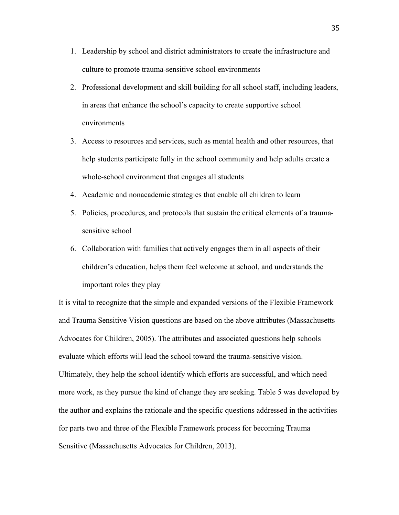- 1. Leadership by school and district administrators to create the infrastructure and culture to promote trauma-sensitive school environments
- 2. Professional development and skill building for all school staff, including leaders, in areas that enhance the school's capacity to create supportive school environments
- 3. Access to resources and services, such as mental health and other resources, that help students participate fully in the school community and help adults create a whole-school environment that engages all students
- 4. Academic and nonacademic strategies that enable all children to learn
- 5. Policies, procedures, and protocols that sustain the critical elements of a traumasensitive school
- 6. Collaboration with families that actively engages them in all aspects of their children's education, helps them feel welcome at school, and understands the important roles they play

It is vital to recognize that the simple and expanded versions of the Flexible Framework and Trauma Sensitive Vision questions are based on the above attributes (Massachusetts Advocates for Children, 2005). The attributes and associated questions help schools evaluate which efforts will lead the school toward the trauma-sensitive vision. Ultimately, they help the school identify which efforts are successful, and which need more work, as they pursue the kind of change they are seeking. Table 5 was developed by the author and explains the rationale and the specific questions addressed in the activities for parts two and three of the Flexible Framework process for becoming Trauma Sensitive (Massachusetts Advocates for Children, 2013).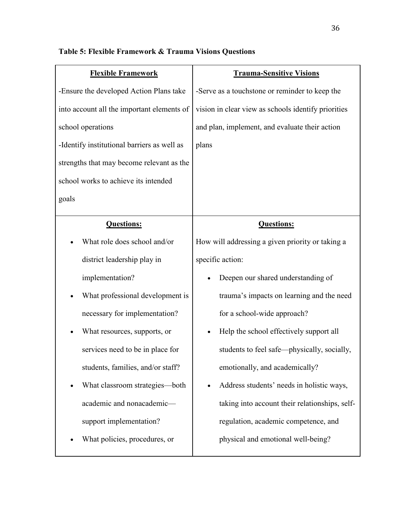| <b>Flexible Framework</b>                   | <b>Trauma-Sensitive Visions</b>                     |
|---------------------------------------------|-----------------------------------------------------|
| -Ensure the developed Action Plans take     | -Serve as a touchstone or reminder to keep the      |
| into account all the important elements of  | vision in clear view as schools identify priorities |
| school operations                           | and plan, implement, and evaluate their action      |
| -Identify institutional barriers as well as | plans                                               |
| strengths that may become relevant as the   |                                                     |
| school works to achieve its intended        |                                                     |
| goals                                       |                                                     |
| <b>Questions:</b>                           | <b>Questions:</b>                                   |
| What role does school and/or                | How will addressing a given priority or taking a    |
| district leadership play in                 | specific action:                                    |
| implementation?                             | Deepen our shared understanding of                  |
| What professional development is            | trauma's impacts on learning and the need           |
| necessary for implementation?               | for a school-wide approach?                         |
| What resources, supports, or                | Help the school effectively support all             |
| services need to be in place for            | students to feel safe—physically, socially,         |
| students, families, and/or staff?           | emotionally, and academically?                      |
| What classroom strategies—both              | Address students' needs in holistic ways,           |
| academic and nonacademic-                   | taking into account their relationships, self-      |
| support implementation?                     | regulation, academic competence, and                |
| What policies, procedures, or               | physical and emotional well-being?                  |

## **Table 5: Flexible Framework & Trauma Visions Questions**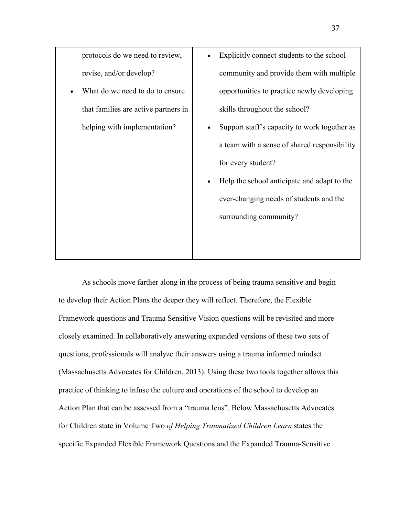| protocols do we need to review,      | Explicitly connect students to the school    |
|--------------------------------------|----------------------------------------------|
| revise, and/or develop?              | community and provide them with multiple     |
| What do we need to do to ensure      | opportunities to practice newly developing   |
| that families are active partners in | skills throughout the school?                |
| helping with implementation?         | Support staff's capacity to work together as |
|                                      | a team with a sense of shared responsibility |
|                                      | for every student?                           |
|                                      | Help the school anticipate and adapt to the  |
|                                      | ever-changing needs of students and the      |
|                                      | surrounding community?                       |
|                                      |                                              |
|                                      |                                              |

As schools move farther along in the process of being trauma sensitive and begin to develop their Action Plans the deeper they will reflect. Therefore, the Flexible Framework questions and Trauma Sensitive Vision questions will be revisited and more closely examined. In collaboratively answering expanded versions of these two sets of questions, professionals will analyze their answers using a trauma informed mindset (Massachusetts Advocates for Children, 2013). Using these two tools together allows this practice of thinking to infuse the culture and operations of the school to develop an Action Plan that can be assessed from a "trauma lens". Below Massachusetts Advocates for Children state in Volume Two *of Helping Traumatized Children Learn* states the specific Expanded Flexible Framework Questions and the Expanded Trauma-Sensitive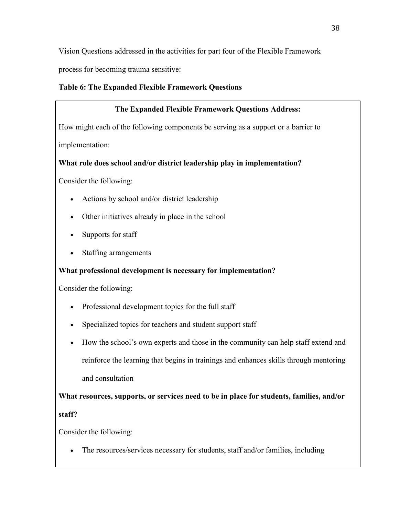Vision Questions addressed in the activities for part four of the Flexible Framework

process for becoming trauma sensitive:

### **Table 6: The Expanded Flexible Framework Questions**

## **The Expanded Flexible Framework Questions Address:**

How might each of the following components be serving as a support or a barrier to implementation:

## **What role does school and/or district leadership play in implementation?**

Consider the following:

- Actions by school and/or district leadership
- Other initiatives already in place in the school
- Supports for staff
- Staffing arrangements

## **What professional development is necessary for implementation?**

Consider the following:

- Professional development topics for the full staff
- Specialized topics for teachers and student support staff
- How the school's own experts and those in the community can help staff extend and reinforce the learning that begins in trainings and enhances skills through mentoring and consultation

**What resources, supports, or services need to be in place for students, families, and/or staff?**

Consider the following:

• The resources/services necessary for students, staff and/or families, including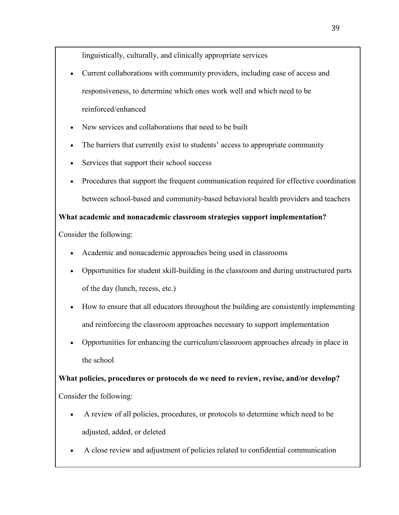linguistically, culturally, and clinically appropriate services

- Current collaborations with community providers, including ease of access and responsiveness, to determine which ones work well and which need to be reinforced/enhanced
- New services and collaborations that need to be built
- The barriers that currently exist to students' access to appropriate community
- Services that support their school success
- Procedures that support the frequent communication required for effective coordination between school-based and community-based behavioral health providers and teachers

**What academic and nonacademic classroom strategies support implementation?**

Consider the following:

- Academic and nonacademic approaches being used in classrooms
- Opportunities for student skill-building in the classroom and during unstructured parts of the day (lunch, recess, etc.)
- How to ensure that all educators throughout the building are consistently implementing and reinforcing the classroom approaches necessary to support implementation
- Opportunities for enhancing the curriculum/classroom approaches already in place in the school

**What policies, procedures or protocols do we need to review, revise, and/or develop?** Consider the following:

- A review of all policies, procedures, or protocols to determine which need to be adjusted, added, or deleted
- A close review and adjustment of policies related to confidential communication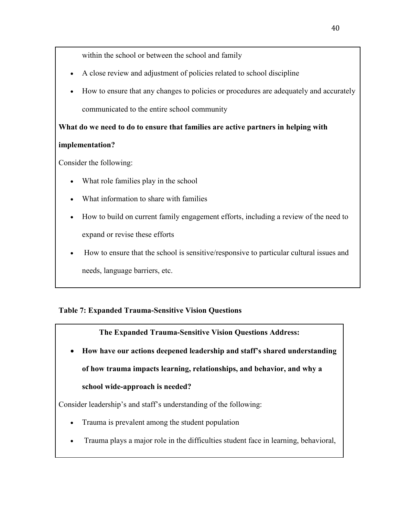within the school or between the school and family

- A close review and adjustment of policies related to school discipline
- How to ensure that any changes to policies or procedures are adequately and accurately communicated to the entire school community

**What do we need to do to ensure that families are active partners in helping with** 

## **implementation?**

Consider the following:

- What role families play in the school
- What information to share with families
- How to build on current family engagement efforts, including a review of the need to expand or revise these efforts
- How to ensure that the school is sensitive/responsive to particular cultural issues and needs, language barriers, etc.

## **Table 7: Expanded Trauma-Sensitive Vision Questions**

**The Expanded Trauma-Sensitive Vision Questions Address:**

• **How have our actions deepened leadership and staff's shared understanding of how trauma impacts learning, relationships, and behavior, and why a school wide-approach is needed?**

Consider leadership's and staff's understanding of the following:

- Trauma is prevalent among the student population
- Trauma plays a major role in the difficulties student face in learning, behavioral,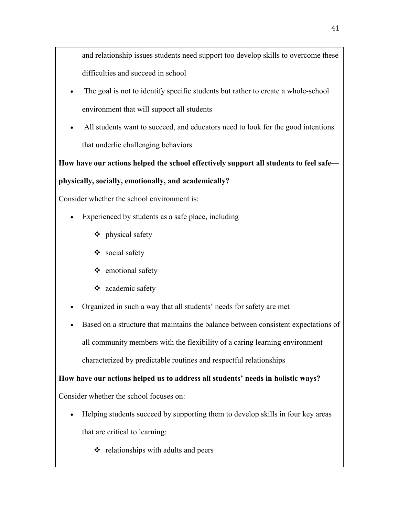and relationship issues students need support too develop skills to overcome these difficulties and succeed in school

- The goal is not to identify specific students but rather to create a whole-school environment that will support all students
- All students want to succeed, and educators need to look for the good intentions that underlie challenging behaviors

**How have our actions helped the school effectively support all students to feel safe—**

## **physically, socially, emotionally, and academically?**

Consider whether the school environment is:

- Experienced by students as a safe place, including
	- ❖ physical safety
	- social safety
	- ❖ emotional safety
	- academic safety
- Organized in such a way that all students' needs for safety are met
- Based on a structure that maintains the balance between consistent expectations of all community members with the flexibility of a caring learning environment characterized by predictable routines and respectful relationships

**How have our actions helped us to address all students' needs in holistic ways?**

Consider whether the school focuses on:

- Helping students succeed by supporting them to develop skills in four key areas that are critical to learning:
	- $\triangleleft$  relationships with adults and peers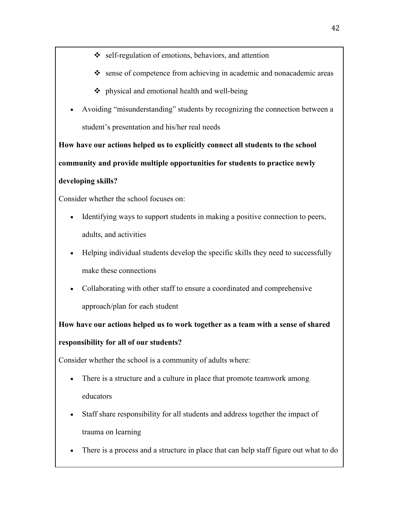- self-regulation of emotions, behaviors, and attention
- sense of competence from achieving in academic and nonacademic areas
- $\bullet$  physical and emotional health and well-being
- Avoiding "misunderstanding" students by recognizing the connection between a student's presentation and his/her real needs

**How have our actions helped us to explicitly connect all students to the school community and provide multiple opportunities for students to practice newly developing skills?**

Consider whether the school focuses on:

- Identifying ways to support students in making a positive connection to peers, adults, and activities
- Helping individual students develop the specific skills they need to successfully make these connections
- Collaborating with other staff to ensure a coordinated and comprehensive approach/plan for each student

**How have our actions helped us to work together as a team with a sense of shared responsibility for all of our students?**

Consider whether the school is a community of adults where:

- There is a structure and a culture in place that promote teamwork among educators
- Staff share responsibility for all students and address together the impact of trauma on learning
- There is a process and a structure in place that can help staff figure out what to do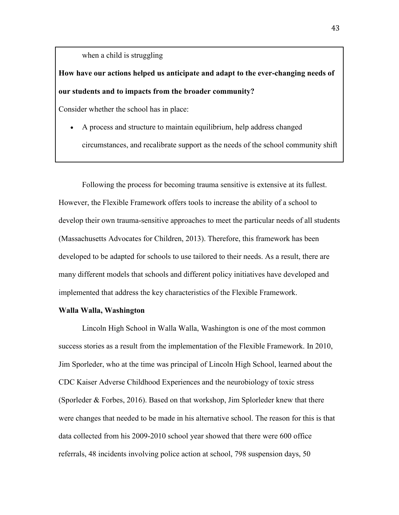when a child is struggling

## **How have our actions helped us anticipate and adapt to the ever-changing needs of our students and to impacts from the broader community?**

Consider whether the school has in place:

• A process and structure to maintain equilibrium, help address changed circumstances, and recalibrate support as the needs of the school community shift

Following the process for becoming trauma sensitive is extensive at its fullest. However, the Flexible Framework offers tools to increase the ability of a school to develop their own trauma-sensitive approaches to meet the particular needs of all students (Massachusetts Advocates for Children, 2013). Therefore, this framework has been developed to be adapted for schools to use tailored to their needs. As a result, there are many different models that schools and different policy initiatives have developed and implemented that address the key characteristics of the Flexible Framework.

#### **Walla Walla, Washington**

Lincoln High School in Walla Walla, Washington is one of the most common success stories as a result from the implementation of the Flexible Framework. In 2010, Jim Sporleder, who at the time was principal of Lincoln High School, learned about the CDC Kaiser Adverse Childhood Experiences and the neurobiology of toxic stress (Sporleder & Forbes, 2016). Based on that workshop, Jim Splorleder knew that there were changes that needed to be made in his alternative school. The reason for this is that data collected from his 2009-2010 school year showed that there were 600 office referrals, 48 incidents involving police action at school, 798 suspension days, 50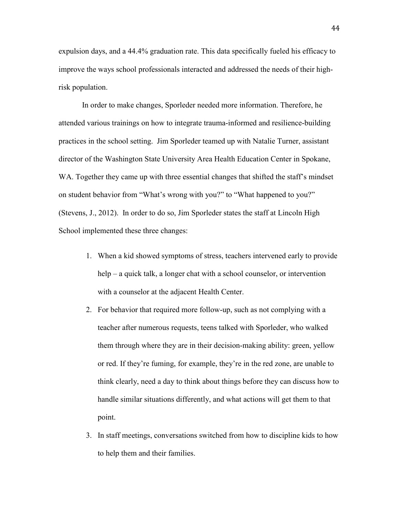expulsion days, and a 44.4% graduation rate. This data specifically fueled his efficacy to improve the ways school professionals interacted and addressed the needs of their highrisk population.

In order to make changes, Sporleder needed more information. Therefore, he attended various trainings on how to integrate trauma-informed and resilience-building practices in the school setting. Jim Sporleder teamed up with Natalie Turner, assistant director of the [Washington State University Area Health Education Center](http://ext100.wsu.edu/ahec/complex-trauma-2/) in Spokane, WA. Together they came up with three essential changes that shifted the staff's mindset on student behavior from "What's wrong with you?" to "What happened to you?" (Stevens, J., 2012). In order to do so, Jim Sporleder states the staff at Lincoln High School implemented these three changes:

- 1. When a kid showed symptoms of stress, teachers intervened early to provide help – a quick talk, a longer chat with a school counselor, or intervention with a counselor at the adjacent [Health Center.](http://thehealthcenterww.org/)
- 2. For behavior that required more follow-up, such as not complying with a teacher after numerous requests, teens talked with Sporleder, who walked them through where they are in their decision-making ability: green, yellow or red. If they're fuming, for example, they're in the red zone, are unable to think clearly, need a day to think about things before they can discuss how to handle similar situations differently, and what actions will get them to that point.
- 3. In staff meetings, conversations switched from how to discipline kids to how to help them and their families.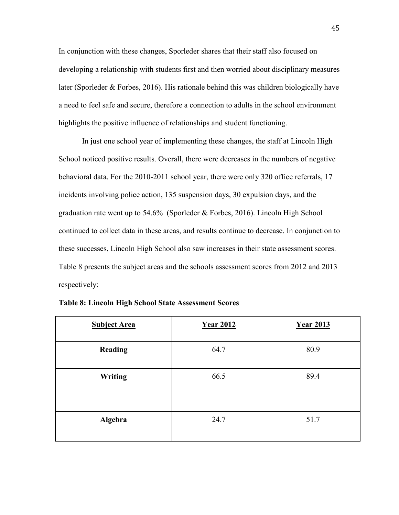In conjunction with these changes, Sporleder shares that their staff also focused on developing a relationship with students first and then worried about disciplinary measures later (Sporleder & Forbes, 2016). His rationale behind this was children biologically have a need to feel safe and secure, therefore a connection to adults in the school environment highlights the positive influence of relationships and student functioning.

In just one school year of implementing these changes, the staff at Lincoln High School noticed positive results. Overall, there were decreases in the numbers of negative behavioral data. For the 2010-2011 school year, there were only 320 office referrals, 17 incidents involving police action, 135 suspension days, 30 expulsion days, and the graduation rate went up to 54.6% (Sporleder & Forbes, 2016). Lincoln High School continued to collect data in these areas, and results continue to decrease. In conjunction to these successes, Lincoln High School also saw increases in their state assessment scores. Table 8 presents the subject areas and the schools assessment scores from 2012 and 2013 respectively:

| <b>Subject Area</b> | <b>Year 2012</b> | <b>Year 2013</b> |
|---------------------|------------------|------------------|
| <b>Reading</b>      | 64.7             | 80.9             |
| <b>Writing</b>      | 66.5             | 89.4             |
| Algebra             | 24.7             | 51.7             |

|  |  |  | <b>Table 8: Lincoln High School State Assessment Scores</b> |
|--|--|--|-------------------------------------------------------------|
|  |  |  |                                                             |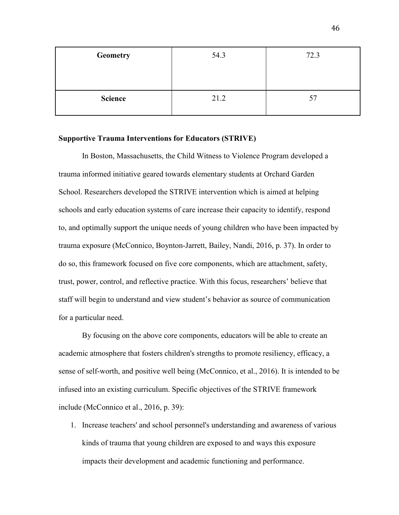| <b>Geometry</b> | 54.3 | 72.3 |
|-----------------|------|------|
|                 |      |      |
| <b>Science</b>  | 21.2 | 57   |

#### **Supportive Trauma Interventions for Educators (STRIVE)**

In Boston, Massachusetts, the Child Witness to Violence Program developed a trauma informed initiative geared towards elementary students at Orchard Garden School. Researchers developed the STRIVE intervention which is aimed at helping schools and early education systems of care increase their capacity to identify, respond to, and optimally support the unique needs of young children who have been impacted by trauma exposure (McConnico, Boynton-Jarrett, Bailey, Nandi, 2016, p. 37). In order to do so, this framework focused on five core components, which are attachment, safety, trust, power, control, and reflective practice. With this focus, researchers' believe that staff will begin to understand and view student's behavior as source of communication for a particular need.

By focusing on the above core components, educators will be able to create an academic atmosphere that fosters children's strengths to promote resiliency, efficacy, a sense of self-worth, and positive well being (McConnico, et al., 2016). It is intended to be infused into an existing curriculum. Specific objectives of the STRIVE framework include (McConnico et al., 2016, p. 39):

1. Increase teachers' and school personnel's understanding and awareness of various kinds of trauma that young children are exposed to and ways this exposure impacts their development and academic functioning and performance.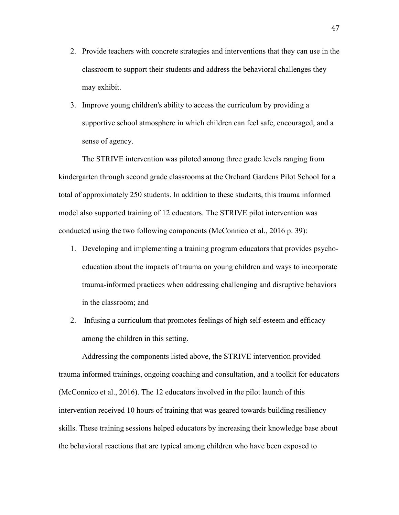- 2. Provide teachers with concrete strategies and interventions that they can use in the classroom to support their students and address the behavioral challenges they may exhibit.
- 3. Improve young children's ability to access the curriculum by providing a supportive school atmosphere in which children can feel safe, encouraged, and a sense of agency.

The STRIVE intervention was piloted among three grade levels ranging from kindergarten through second grade classrooms at the Orchard Gardens Pilot School for a total of approximately 250 students. In addition to these students, this trauma informed model also supported training of 12 educators. The STRIVE pilot intervention was conducted using the two following components (McConnico et al., 2016 p. 39):

- 1. Developing and implementing a training program educators that provides psychoeducation about the impacts of trauma on young children and ways to incorporate trauma-informed practices when addressing challenging and disruptive behaviors in the classroom; and
- 2. Infusing a curriculum that promotes feelings of high self-esteem and efficacy among the children in this setting.

Addressing the components listed above, the STRIVE intervention provided trauma informed trainings, ongoing coaching and consultation, and a toolkit for educators (McConnico et al., 2016). The 12 educators involved in the pilot launch of this intervention received 10 hours of training that was geared towards building resiliency skills. These training sessions helped educators by increasing their knowledge base about the behavioral reactions that are typical among children who have been exposed to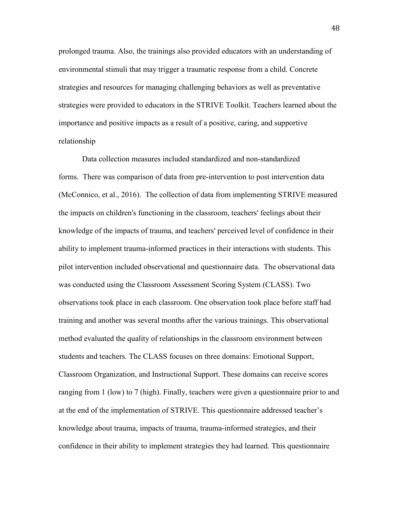prolonged trauma. Also, the trainings also provided educators with an understanding of environmental stimuli that may trigger a traumatic response from a child. Concrete strategies and resources for managing challenging behaviors as well as preventative strategies were provided to educators in the STRIVE Toolkit. Teachers learned about the importance and positive impacts as a result of a positive, caring, and supportive relationship

Data collection measures included standardized and non-standardized forms. There was comparison of data from pre-intervention to post intervention data (McConnico, et al., 2016). The collection of data from implementing STRIVE measured the impacts on children's functioning in the classroom, teachers' feelings about their knowledge of the impacts of trauma, and teachers' perceived level of confidence in their ability to implement trauma-informed practices in their interactions with students. This pilot intervention included observational and questionnaire data. The observational data was conducted using the Classroom Assessment Scoring System (CLASS). Two observations took place in each classroom. One observation took place before staff had training and another was several months after the various trainings. This observational method evaluated the quality of relationships in the classroom environment between students and teachers. The CLASS focuses on three domains: Emotional Support, Classroom Organization, and Instructional Support. These domains can receive scores ranging from 1 (low) to 7 (high). Finally, teachers were given a questionnaire prior to and at the end of the implementation of STRIVE. This questionnaire addressed teacher's knowledge about trauma, impacts of trauma, trauma-informed strategies, and their confidence in their ability to implement strategies they had learned. This questionnaire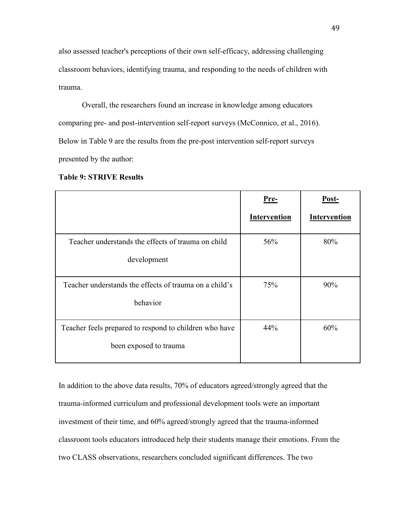also assessed teacher's perceptions of their own self-efficacy, addressing challenging classroom behaviors, identifying trauma, and responding to the needs of children with trauma.

Overall, the researchers found an increase in knowledge among educators comparing pre- and post-intervention self-report surveys (McConnico, et al., 2016). Below in Table 9 are the results from the pre-post intervention self-report surveys presented by the author:

|                                                        | Pre-         | Post-        |
|--------------------------------------------------------|--------------|--------------|
|                                                        | Intervention | Intervention |
| Teacher understands the effects of trauma on child     | 56%          | 80%          |
| development                                            |              |              |
| Teacher understands the effects of trauma on a child's | 75%          | 90%          |
| behavior                                               |              |              |
| Teacher feels prepared to respond to children who have | 44%          | 60%          |
| been exposed to trauma                                 |              |              |

**Table 9: STRIVE Results**

In addition to the above data results, 70% of educators agreed/strongly agreed that the trauma-informed curriculum and professional development tools were an important investment of their time, and 60% agreed/strongly agreed that the trauma-informed classroom tools educators introduced help their students manage their emotions. From the two CLASS observations, researchers concluded significant differences. The two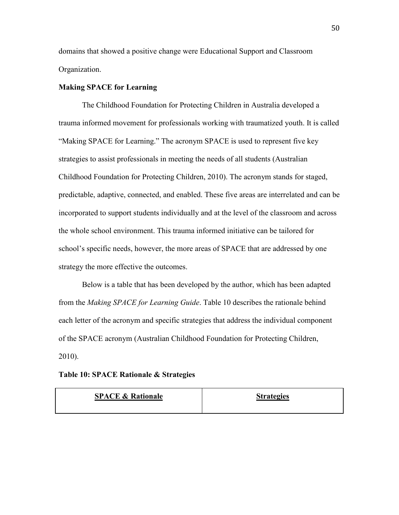domains that showed a positive change were Educational Support and Classroom Organization.

#### **Making SPACE for Learning**

The Childhood Foundation for Protecting Children in Australia developed a trauma informed movement for professionals working with traumatized youth. It is called "Making SPACE for Learning." The acronym SPACE is used to represent five key strategies to assist professionals in meeting the needs of all students (Australian Childhood Foundation for Protecting Children, 2010). The acronym stands for staged, predictable, adaptive, connected, and enabled. These five areas are interrelated and can be incorporated to support students individually and at the level of the classroom and across the whole school environment. This trauma informed initiative can be tailored for school's specific needs, however, the more areas of SPACE that are addressed by one strategy the more effective the outcomes.

Below is a table that has been developed by the author, which has been adapted from the *Making SPACE for Learning Guide*. Table 10 describes the rationale behind each letter of the acronym and specific strategies that address the individual component of the SPACE acronym (Australian Childhood Foundation for Protecting Children, 2010).

|  |  |  |  | Table 10: SPACE Rationale & Strategies |
|--|--|--|--|----------------------------------------|
|--|--|--|--|----------------------------------------|

| <b>SPACE &amp; Rationale</b> | <b>Strategies</b> |
|------------------------------|-------------------|
|                              |                   |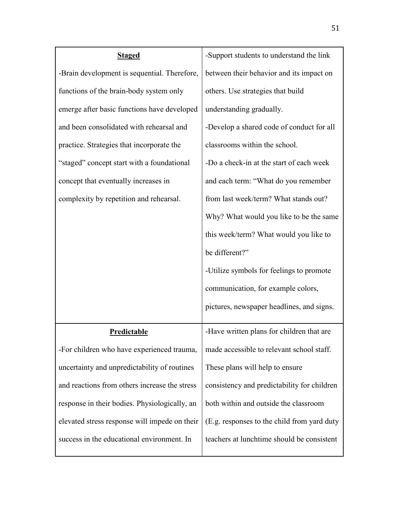| <b>Staged</b>                                 | -Support students to understand the link    |
|-----------------------------------------------|---------------------------------------------|
| -Brain development is sequential. Therefore,  | between their behavior and its impact on    |
| functions of the brain-body system only       | others. Use strategies that build           |
| emerge after basic functions have developed   | understanding gradually.                    |
| and been consolidated with rehearsal and      | -Develop a shared code of conduct for all   |
| practice. Strategies that incorporate the     | classrooms within the school.               |
| "staged" concept start with a foundational    | -Do a check-in at the start of each week    |
| concept that eventually increases in          | and each term: "What do you remember        |
| complexity by repetition and rehearsal.       | from last week/term? What stands out?       |
|                                               | Why? What would you like to be the same     |
|                                               | this week/term? What would you like to      |
|                                               | be different?"                              |
|                                               | -Utilize symbols for feelings to promote    |
|                                               | communication, for example colors,          |
|                                               | pictures, newspaper headlines, and signs.   |
| <b>Predictable</b>                            | -Have written plans for children that are   |
| -For children who have experienced trauma,    | made accessible to relevant school staff.   |
| uncertainty and unpredictability of routines  | These plans will help to ensure             |
| and reactions from others increase the stress | consistency and predictability for children |
| response in their bodies. Physiologically, an | both within and outside the classroom       |
| elevated stress response will impede on their | (E.g. responses to the child from yard duty |
| success in the educational environment. In    | teachers at lunchtime should be consistent  |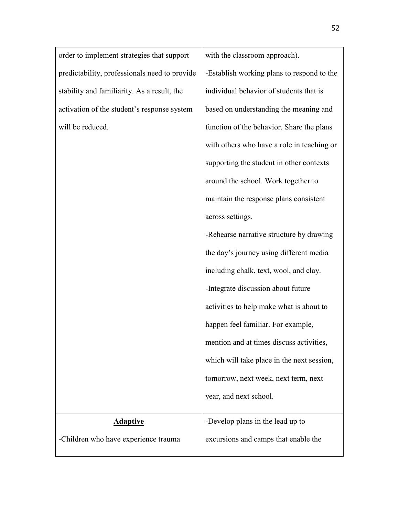order to implement strategies that support predictability, professionals need to provide stability and familiarity. As a result, the activation of the student's response system will be reduced.

with the classroom approach). -Establish working plans to respond to the individual behavior of students that is based on understanding the meaning and function of the behavior. Share the plans with others who have a role in teaching or supporting the student in other contexts around the school. Work together to maintain the response plans consistent across settings. -Rehearse narrative structure by drawing the day's journey using different media including chalk, text, wool, and clay. -Integrate discussion about future

activities to help make what is about to happen feel familiar. For example, mention and at times discuss activities, which will take place in the next session, tomorrow, next week, next term, next year, and next school.

-Develop plans in the lead up to

## **Adaptive**

-Children who have experience trauma excursions and camps that enable the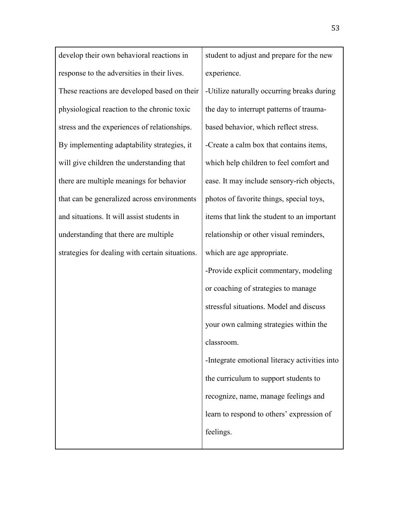develop their own behavioral reactions in response to the adversities in their lives. These reactions are developed based on their physiological reaction to the chronic toxic stress and the experiences of relationships. By implementing adaptability strategies, it will give children the understanding that there are multiple meanings for behavior that can be generalized across environments and situations. It will assist students in understanding that there are multiple strategies for dealing with certain situations.

student to adjust and prepare for the new experience.

-Utilize naturally occurring breaks during the day to interrupt patterns of traumabased behavior, which reflect stress. -Create a calm box that contains items, which help children to feel comfort and ease. It may include sensory-rich objects, photos of favorite things, special toys, items that link the student to an important relationship or other visual reminders, which are age appropriate.

-Provide explicit commentary, modeling or coaching of strategies to manage stressful situations. Model and discuss your own calming strategies within the classroom.

-Integrate emotional literacy activities into the curriculum to support students to recognize, name, manage feelings and learn to respond to others' expression of feelings.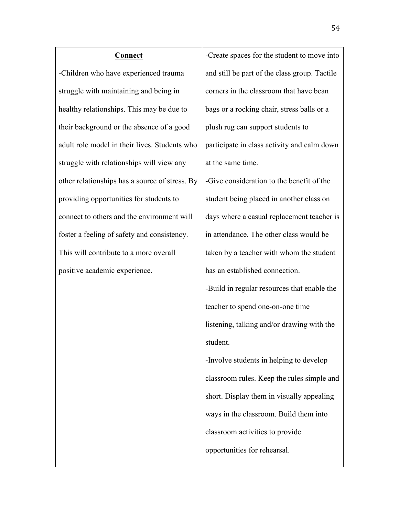#### **Connect**

-Children who have experienced trauma struggle with maintaining and being in healthy relationships. This may be due to their background or the absence of a good adult role model in their lives. Students who struggle with relationships will view any other relationships has a source of stress. By providing opportunities for students to connect to others and the environment will foster a feeling of safety and consistency. This will contribute to a more overall positive academic experience.

-Create spaces for the student to move into and still be part of the class group. Tactile corners in the classroom that have bean bags or a rocking chair, stress balls or a plush rug can support students to participate in class activity and calm down at the same time.

-Give consideration to the benefit of the student being placed in another class on days where a casual replacement teacher is in attendance. The other class would be taken by a teacher with whom the student has an established connection. -Build in regular resources that enable the teacher to spend one-on-one time listening, talking and/or drawing with the student.

-Involve students in helping to develop classroom rules. Keep the rules simple and short. Display them in visually appealing ways in the classroom. Build them into classroom activities to provide opportunities for rehearsal.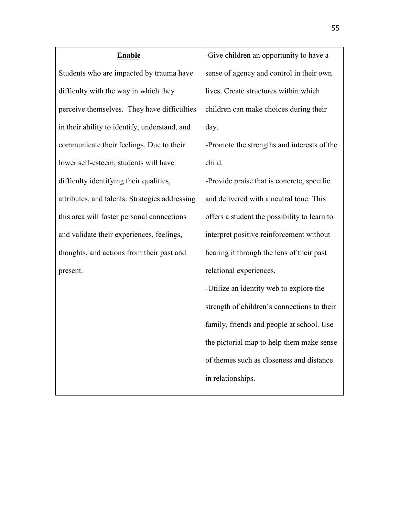# **Enable** Students who are impacted by trauma have difficulty with the way in which they perceive themselves. They have difficulties in their ability to identify, understand, and communicate their feelings. Due to their lower self-esteem, students will have difficulty identifying their qualities, attributes, and talents. Strategies addressing this area will foster personal connections and validate their experiences, feelings, thoughts, and actions from their past and present.

-Give children an opportunity to have a sense of agency and control in their own lives. Create structures within which children can make choices during their day.

-Promote the strengths and interests of the child.

-Provide praise that is concrete, specific and delivered with a neutral tone. This offers a student the possibility to learn to interpret positive reinforcement without hearing it through the lens of their past relational experiences.

-Utilize an identity web to explore the strength of children's connections to their family, friends and people at school. Use the pictorial map to help them make sense of themes such as closeness and distance in relationships.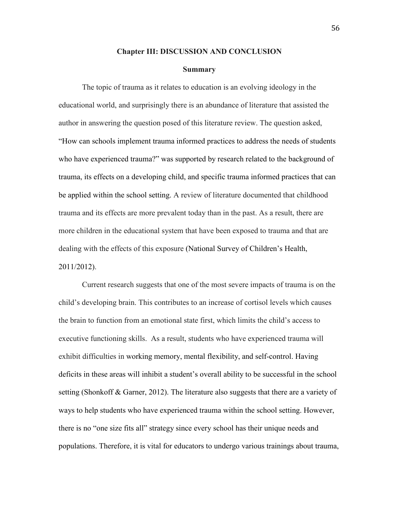#### **Chapter III: DISCUSSION AND CONCLUSION**

#### **Summary**

The topic of trauma as it relates to education is an evolving ideology in the educational world, and surprisingly there is an abundance of literature that assisted the author in answering the question posed of this literature review. The question asked, "How can schools implement trauma informed practices to address the needs of students who have experienced trauma?" was supported by research related to the background of trauma, its effects on a developing child, and specific trauma informed practices that can be applied within the school setting. A review of literature documented that childhood trauma and its effects are more prevalent today than in the past. As a result, there are more children in the educational system that have been exposed to trauma and that are dealing with the effects of this exposure (National Survey of Children's Health, 2011/2012).

Current research suggests that one of the most severe impacts of trauma is on the child's developing brain. This contributes to an increase of cortisol levels which causes the brain to function from an emotional state first, which limits the child's access to executive functioning skills. As a result, students who have experienced trauma will exhibit difficulties in working memory, mental flexibility, and self-control. Having deficits in these areas will inhibit a student's overall ability to be successful in the school setting (Shonkoff & Garner, 2012). The literature also suggests that there are a variety of ways to help students who have experienced trauma within the school setting. However, there is no "one size fits all" strategy since every school has their unique needs and populations. Therefore, it is vital for educators to undergo various trainings about trauma,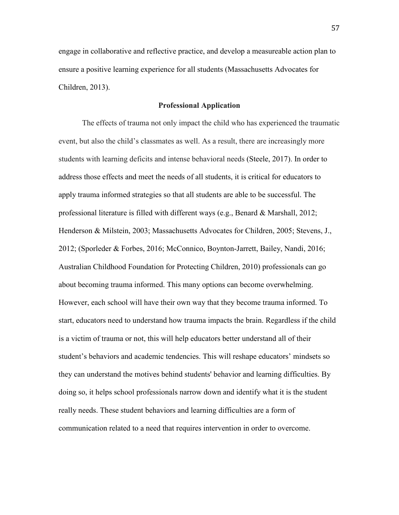engage in collaborative and reflective practice, and develop a measureable action plan to ensure a positive learning experience for all students (Massachusetts Advocates for Children, 2013).

#### **Professional Application**

The effects of trauma not only impact the child who has experienced the traumatic event, but also the child's classmates as well. As a result, there are increasingly more students with learning deficits and intense behavioral needs (Steele, 2017). In order to address those effects and meet the needs of all students, it is critical for educators to apply trauma informed strategies so that all students are able to be successful. The professional literature is filled with different ways (e.g., Benard & Marshall, 2012; Henderson & Milstein, 2003; Massachusetts Advocates for Children, 2005; Stevens, J., 2012; (Sporleder & Forbes, 2016; McConnico, Boynton-Jarrett, Bailey, Nandi, 2016; Australian Childhood Foundation for Protecting Children, 2010) professionals can go about becoming trauma informed. This many options can become overwhelming. However, each school will have their own way that they become trauma informed. To start, educators need to understand how trauma impacts the brain. Regardless if the child is a victim of trauma or not, this will help educators better understand all of their student's behaviors and academic tendencies. This will reshape educators' mindsets so they can understand the motives behind students' behavior and learning difficulties. By doing so, it helps school professionals narrow down and identify what it is the student really needs. These student behaviors and learning difficulties are a form of communication related to a need that requires intervention in order to overcome.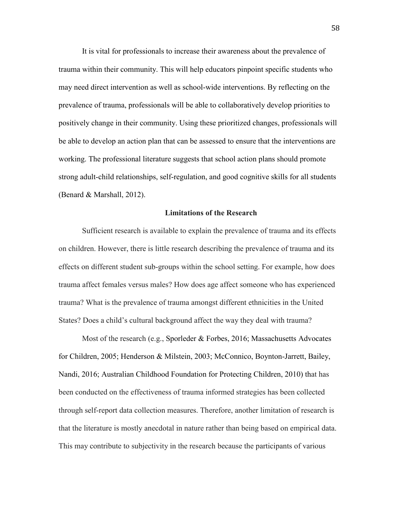It is vital for professionals to increase their awareness about the prevalence of trauma within their community. This will help educators pinpoint specific students who may need direct intervention as well as school-wide interventions. By reflecting on the prevalence of trauma, professionals will be able to collaboratively develop priorities to positively change in their community. Using these prioritized changes, professionals will be able to develop an action plan that can be assessed to ensure that the interventions are working. The professional literature suggests that school action plans should promote strong adult-child relationships, self-regulation, and good cognitive skills for all students (Benard & Marshall, 2012).

#### **Limitations of the Research**

Sufficient research is available to explain the prevalence of trauma and its effects on children. However, there is little research describing the prevalence of trauma and its effects on different student sub-groups within the school setting. For example, how does trauma affect females versus males? How does age affect someone who has experienced trauma? What is the prevalence of trauma amongst different ethnicities in the United States? Does a child's cultural background affect the way they deal with trauma?

Most of the research (e.g., Sporleder & Forbes, 2016; Massachusetts Advocates for Children, 2005; Henderson & Milstein, 2003; McConnico, Boynton-Jarrett, Bailey, Nandi, 2016; Australian Childhood Foundation for Protecting Children, 2010) that has been conducted on the effectiveness of trauma informed strategies has been collected through self-report data collection measures. Therefore, another limitation of research is that the literature is mostly anecdotal in nature rather than being based on empirical data. This may contribute to subjectivity in the research because the participants of various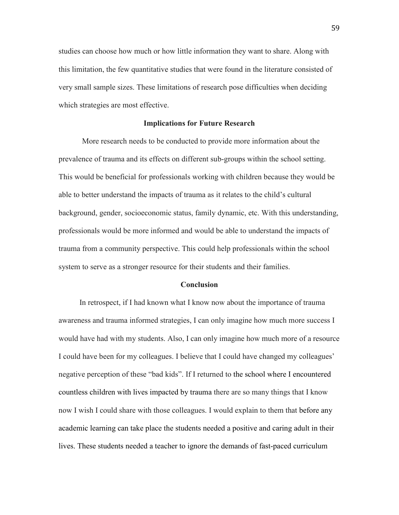studies can choose how much or how little information they want to share. Along with this limitation, the few quantitative studies that were found in the literature consisted of very small sample sizes. These limitations of research pose difficulties when deciding which strategies are most effective.

#### **Implications for Future Research**

More research needs to be conducted to provide more information about the prevalence of trauma and its effects on different sub-groups within the school setting. This would be beneficial for professionals working with children because they would be able to better understand the impacts of trauma as it relates to the child's cultural background, gender, socioeconomic status, family dynamic, etc. With this understanding, professionals would be more informed and would be able to understand the impacts of trauma from a community perspective. This could help professionals within the school system to serve as a stronger resource for their students and their families.

#### **Conclusion**

In retrospect, if I had known what I know now about the importance of trauma awareness and trauma informed strategies, I can only imagine how much more success I would have had with my students. Also, I can only imagine how much more of a resource I could have been for my colleagues. I believe that I could have changed my colleagues' negative perception of these "bad kids". If I returned to the school where I encountered countless children with lives impacted by trauma there are so many things that I know now I wish I could share with those colleagues. I would explain to them that before any academic learning can take place the students needed a positive and caring adult in their lives. These students needed a teacher to ignore the demands of fast-paced curriculum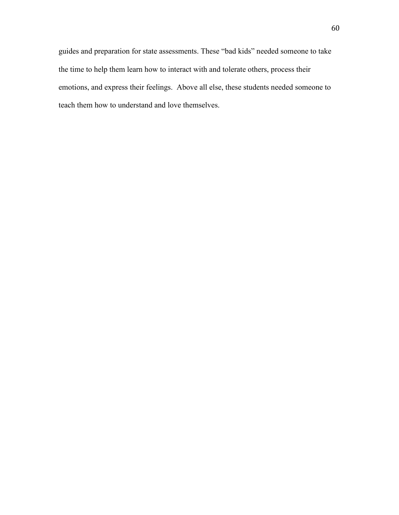guides and preparation for state assessments. These "bad kids" needed someone to take the time to help them learn how to interact with and tolerate others, process their emotions, and express their feelings. Above all else, these students needed someone to teach them how to understand and love themselves.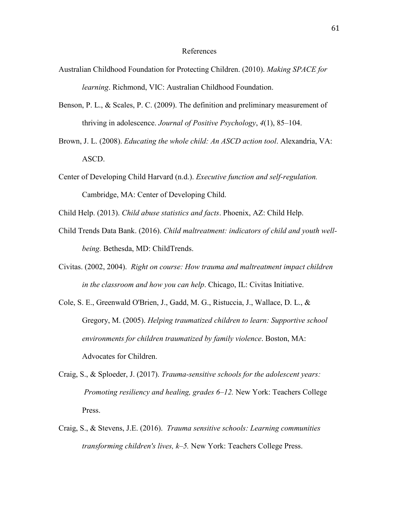#### References

- Australian Childhood Foundation for Protecting Children. (2010). *Making SPACE for learning*. Richmond, VIC: Australian Childhood Foundation.
- Benson, P. L., & Scales, P. C. (2009). The definition and preliminary measurement of thriving in adolescence. *Journal of Positive Psychology*, *4*(1), 85–104.
- Brown, J. L. (2008). *Educating the whole child: An ASCD action tool*. Alexandria, VA: ASCD.
- Center of Developing Child Harvard (n.d.). *Executive function and self-regulation.* Cambridge, MA: Center of Developing Child.
- Child Help. (2013). *Child abuse statistics and facts*. Phoenix, AZ: Child Help.
- Child Trends Data Bank. (2016). *Child maltreatment: indicators of child and youth well being.* Bethesda, MD: ChildTrends.
- Civitas. (2002, 2004). *Right on course: How trauma and maltreatment impact children in the classroom and how you can help*. Chicago, IL: Civitas Initiative.
- Cole, S. E., Greenwald O'Brien, J., Gadd, M. G., Ristuccia, J., Wallace, D. L., & Gregory, M. (2005). *Helping traumatized children to learn: Supportive school environments for children traumatized by family violence*. Boston, MA: Advocates for Children.
- Craig, S., & Sploeder, J. (2017). *Trauma-sensitive schools for the adolescent years: Promoting resiliency and healing, grades 6–12.* New York: Teachers College Press.
- Craig, S., & Stevens, J.E. (2016). *Trauma sensitive schools: Learning communities transforming children's lives, k–5.* New York: Teachers College Press.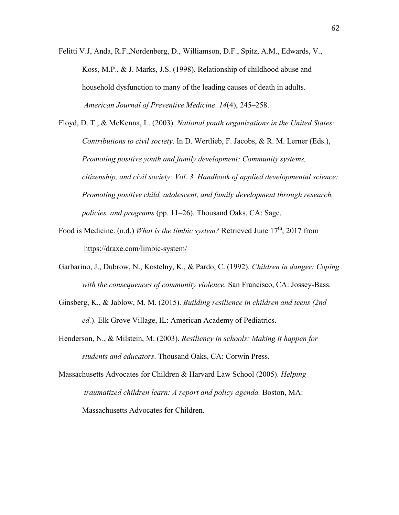Felitti V.J, Anda, R.F.,Nordenberg, D., Williamson, D.F., Spitz, A.M., Edwards, V., Koss, M.P., & J. Marks, J.S. (1998). Relationship of childhood abuse and household dysfunction to many of the leading causes of death in adults. *American Journal of Preventive Medicine*. *14*(4), 245–258.

Floyd, D. T., & McKenna, L. (2003). *National youth organizations in the United States: Contributions to civil society*. In D. Wertlieb, F. Jacobs, & R. M. Lerner (Eds.), *Promoting positive youth and family development: Community systems, citizenship, and civil society: Vol. 3. Handbook of applied developmental science: Promoting positive child, adolescent, and family development through research, policies, and programs* (pp. 11–26). Thousand Oaks, CA: Sage.

- Food is Medicine. (n.d.) *What is the limbic system?* Retrieved June 17<sup>th</sup>, 2017 from <https://draxe.com/limbic-system/>
- Garbarino, J., Dubrow, N., Kostelny, K., & Pardo, C. (1992). *Children in danger: Coping with the consequences of community violence.* San Francisco, CA: Jossey-Bass.
- Ginsberg, K., & Jablow, M. M. (2015). *Building resilience in children and teens (2nd ed.*). Elk Grove Village, IL: American Academy of Pediatrics.
- Henderson, N., & Milstein, M. (2003). *Resiliency in schools: Making it happen for students and educators*. Thousand Oaks, CA: Corwin Press.

Massachusetts Advocates for Children & Harvard Law School (2005). *Helping traumatized children learn: A report and policy agenda.* Boston, MA: Massachusetts Advocates for Children.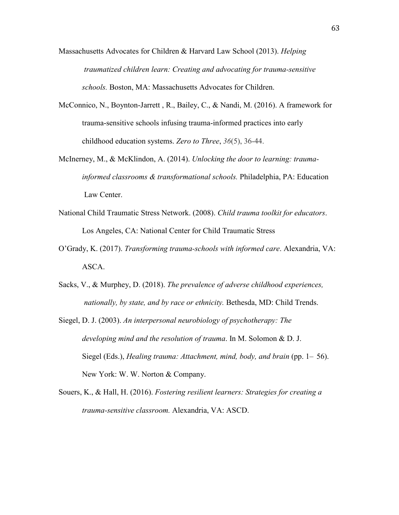Massachusetts Advocates for Children & Harvard Law School (2013). *Helping traumatized children learn: Creating and advocating for trauma-sensitive schools.* Boston, MA: Massachusetts Advocates for Children.

- McConnico, N., Boynton-Jarrett , R., Bailey, C., & Nandi, M. (2016). A framework for trauma-sensitive schools infusing trauma-informed practices into early childhood education systems. *Zero to Three*, *36*(5), 36-44.
- McInerney, M., & McKlindon, A. (2014). *Unlocking the door to learning: trauma informed classrooms & transformational schools.* Philadelphia, PA: Education Law Center.
- National Child Traumatic Stress Network. (2008). *Child trauma toolkit for educators*. Los Angeles, CA: National Center for Child Traumatic Stress
- O'Grady, K. (2017). *Transforming trauma-schools with informed care*. Alexandria, VA: ASCA.
- Sacks, V., & Murphey, D. (2018). *The prevalence of adverse childhood experiences, nationally, by state, and by race or ethnicity.* Bethesda, MD: Child Trends.
- Siegel, D. J. (2003). *An interpersonal neurobiology of psychotherapy: The developing mind and the resolution of trauma*. In M. Solomon & D. J. Siegel (Eds.), *Healing trauma: Attachment, mind, body, and brain* (pp. 1– 56). New York: W. W. Norton & Company.
- Souers, K., & Hall, H. (2016). *Fostering resilient learners: Strategies for creating a trauma-sensitive classroom.* Alexandria, VA: ASCD.